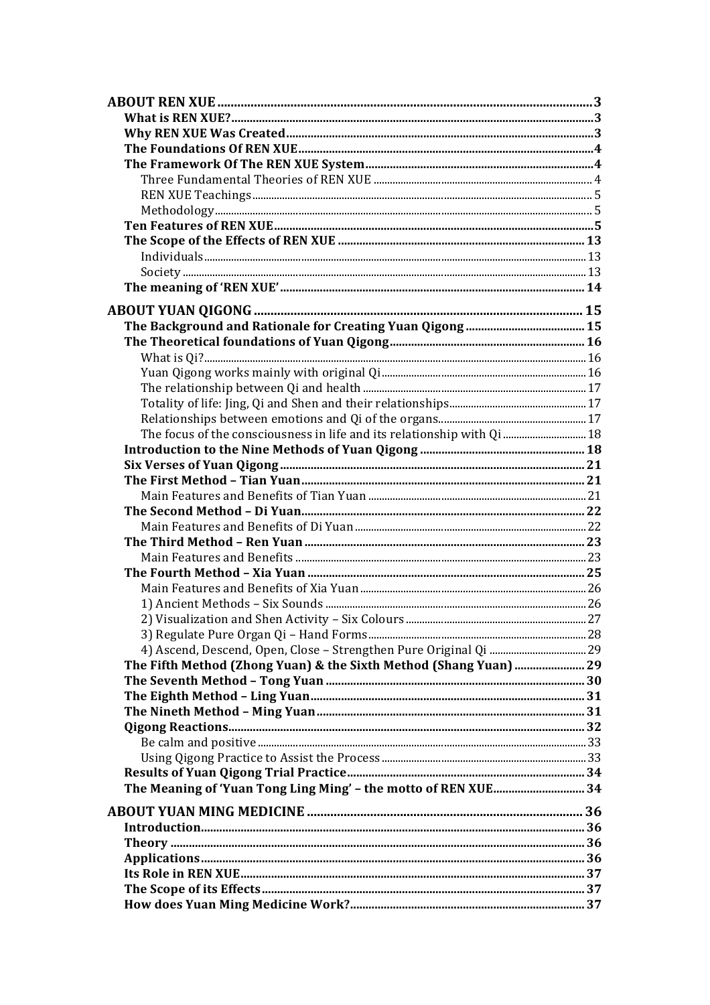| The focus of the consciousness in life and its relationship with Qi  18 |  |
|-------------------------------------------------------------------------|--|
|                                                                         |  |
|                                                                         |  |
|                                                                         |  |
|                                                                         |  |
|                                                                         |  |
|                                                                         |  |
|                                                                         |  |
|                                                                         |  |
|                                                                         |  |
|                                                                         |  |
|                                                                         |  |
|                                                                         |  |
|                                                                         |  |
| The Fifth Method (Zhong Yuan) & the Sixth Method (Shang Yuan)  29       |  |
|                                                                         |  |
|                                                                         |  |
|                                                                         |  |
|                                                                         |  |
|                                                                         |  |
|                                                                         |  |
|                                                                         |  |
| The Meaning of 'Yuan Tong Ling Ming' - the motto of REN XUE 34          |  |
|                                                                         |  |
|                                                                         |  |
|                                                                         |  |
|                                                                         |  |
|                                                                         |  |
|                                                                         |  |
|                                                                         |  |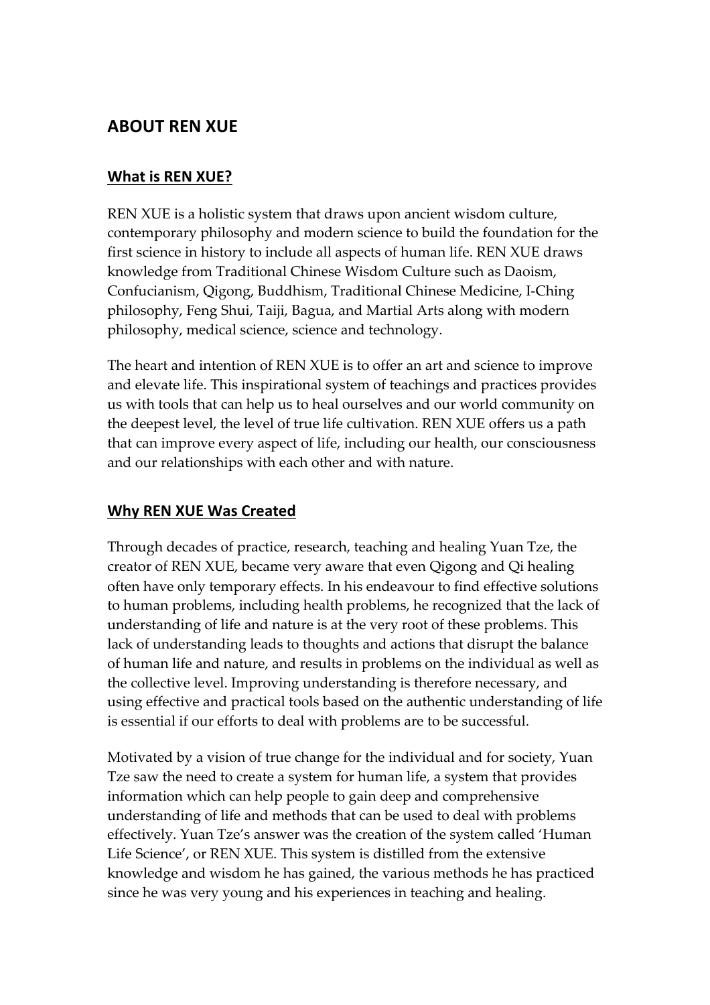# **ABOUT REN XUE**

# **What is REN XUE?**

REN XUE is a holistic system that draws upon ancient wisdom culture, contemporary philosophy and modern science to build the foundation for the first science in history to include all aspects of human life. REN XUE draws knowledge from Traditional Chinese Wisdom Culture such as Daoism, Confucianism, Qigong, Buddhism, Traditional Chinese Medicine, I-Ching philosophy, Feng Shui, Taiji, Bagua, and Martial Arts along with modern philosophy, medical science, science and technology.

The heart and intention of REN XUE is to offer an art and science to improve and elevate life. This inspirational system of teachings and practices provides us with tools that can help us to heal ourselves and our world community on the deepest level, the level of true life cultivation. REN XUE offers us a path that can improve every aspect of life, including our health, our consciousness and our relationships with each other and with nature.

# **Why REN XUE Was Created**

Through decades of practice, research, teaching and healing Yuan Tze, the creator of REN XUE, became very aware that even Qigong and Qi healing often have only temporary effects. In his endeavour to find effective solutions to human problems, including health problems, he recognized that the lack of understanding of life and nature is at the very root of these problems. This lack of understanding leads to thoughts and actions that disrupt the balance of human life and nature, and results in problems on the individual as well as the collective level. Improving understanding is therefore necessary, and using effective and practical tools based on the authentic understanding of life is essential if our efforts to deal with problems are to be successful.

Motivated by a vision of true change for the individual and for society, Yuan Tze saw the need to create a system for human life, a system that provides information which can help people to gain deep and comprehensive understanding of life and methods that can be used to deal with problems effectively. Yuan Tze's answer was the creation of the system called 'Human Life Science', or REN XUE. This system is distilled from the extensive knowledge and wisdom he has gained, the various methods he has practiced since he was very young and his experiences in teaching and healing.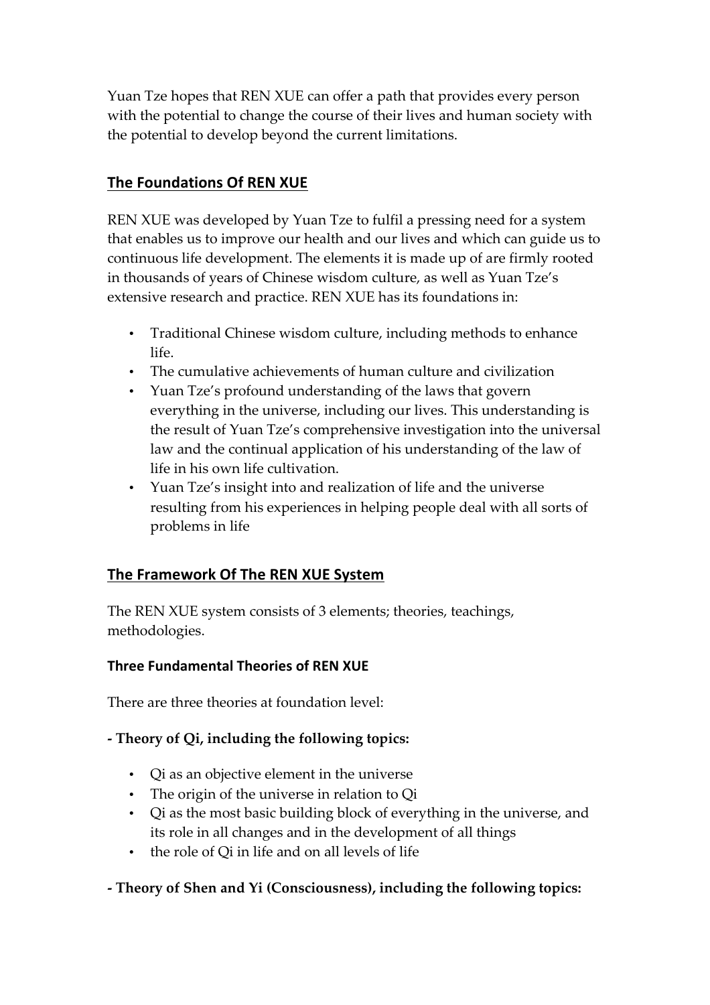Yuan Tze hopes that REN XUE can offer a path that provides every person with the potential to change the course of their lives and human society with the potential to develop beyond the current limitations.

# **The Foundations Of REN XUE**

REN XUE was developed by Yuan Tze to fulfil a pressing need for a system that enables us to improve our health and our lives and which can guide us to continuous life development. The elements it is made up of are firmly rooted in thousands of years of Chinese wisdom culture, as well as Yuan Tze's extensive research and practice. REN XUE has its foundations in:

- Traditional Chinese wisdom culture, including methods to enhance life.
- The cumulative achievements of human culture and civilization
- Yuan Tze's profound understanding of the laws that govern everything in the universe, including our lives. This understanding is the result of Yuan Tze's comprehensive investigation into the universal law and the continual application of his understanding of the law of life in his own life cultivation.
- Yuan Tze's insight into and realization of life and the universe resulting from his experiences in helping people deal with all sorts of problems in life

# **The Framework Of The REN XUE System**

The REN XUE system consists of 3 elements; theories, teachings, methodologies.

# **Three Fundamental Theories of REN XUE**

There are three theories at foundation level:

# **- Theory of Qi, including the following topics:**

- Qi as an objective element in the universe
- The origin of the universe in relation to Qi
- Qi as the most basic building block of everything in the universe, and its role in all changes and in the development of all things
- the role of Qi in life and on all levels of life

# **- Theory of Shen and Yi (Consciousness), including the following topics:**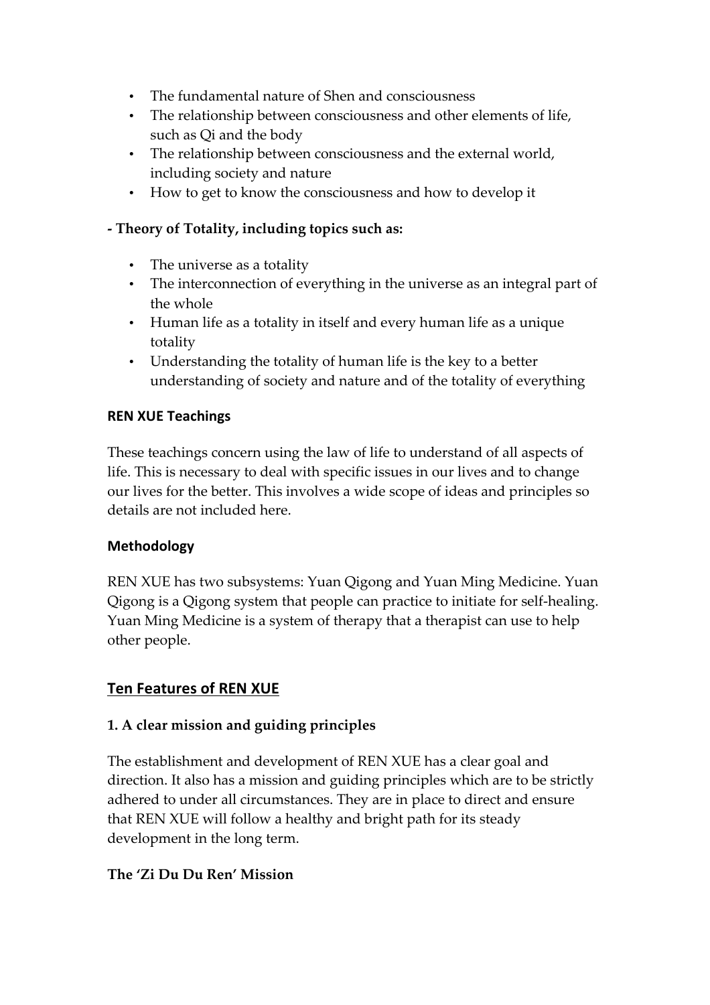- The fundamental nature of Shen and consciousness
- The relationship between consciousness and other elements of life, such as Qi and the body
- The relationship between consciousness and the external world, including society and nature
- How to get to know the consciousness and how to develop it

#### **- Theory of Totality, including topics such as:**

- The universe as a totality
- The interconnection of everything in the universe as an integral part of the whole
- Human life as a totality in itself and every human life as a unique totality
- Understanding the totality of human life is the key to a better understanding of society and nature and of the totality of everything

#### **REN XUE Teachings**

These teachings concern using the law of life to understand of all aspects of life. This is necessary to deal with specific issues in our lives and to change our lives for the better. This involves a wide scope of ideas and principles so details are not included here.

#### **Methodology**

REN XUE has two subsystems: Yuan Qigong and Yuan Ming Medicine. Yuan Qigong is a Qigong system that people can practice to initiate for self-healing. Yuan Ming Medicine is a system of therapy that a therapist can use to help other people.

# **Ten Features of REN XUE**

# **1. A clear mission and guiding principles**

The establishment and development of REN XUE has a clear goal and direction. It also has a mission and guiding principles which are to be strictly adhered to under all circumstances. They are in place to direct and ensure that REN XUE will follow a healthy and bright path for its steady development in the long term.

# **The 'Zi Du Du Ren' Mission**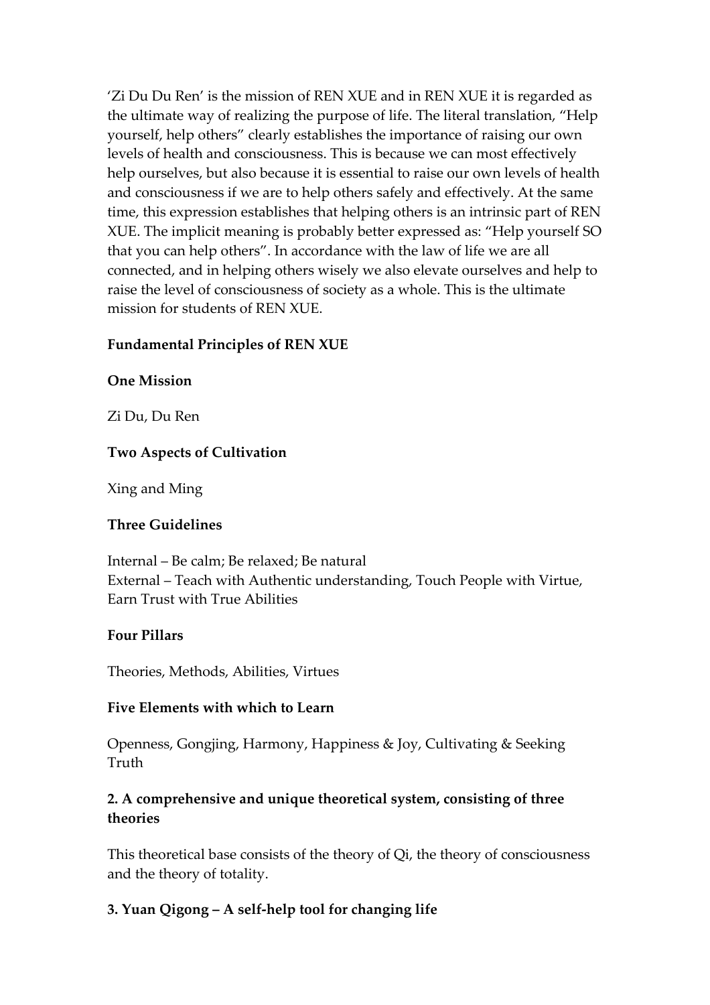'Zi Du Du Ren' is the mission of REN XUE and in REN XUE it is regarded as the ultimate way of realizing the purpose of life. The literal translation, "Help yourself, help others" clearly establishes the importance of raising our own levels of health and consciousness. This is because we can most effectively help ourselves, but also because it is essential to raise our own levels of health and consciousness if we are to help others safely and effectively. At the same time, this expression establishes that helping others is an intrinsic part of REN XUE. The implicit meaning is probably better expressed as: "Help yourself SO that you can help others". In accordance with the law of life we are all connected, and in helping others wisely we also elevate ourselves and help to raise the level of consciousness of society as a whole. This is the ultimate mission for students of REN XUE.

#### **Fundamental Principles of REN XUE**

#### **One Mission**

Zi Du, Du Ren

#### **Two Aspects of Cultivation**

Xing and Ming

#### **Three Guidelines**

Internal – Be calm; Be relaxed; Be natural External – Teach with Authentic understanding, Touch People with Virtue, Earn Trust with True Abilities

#### **Four Pillars**

Theories, Methods, Abilities, Virtues

#### **Five Elements with which to Learn**

Openness, Gongjing, Harmony, Happiness & Joy, Cultivating & Seeking Truth

#### **2. A comprehensive and unique theoretical system, consisting of three theories**

This theoretical base consists of the theory of Qi, the theory of consciousness and the theory of totality.

#### **3. Yuan Qigong – A self-help tool for changing life**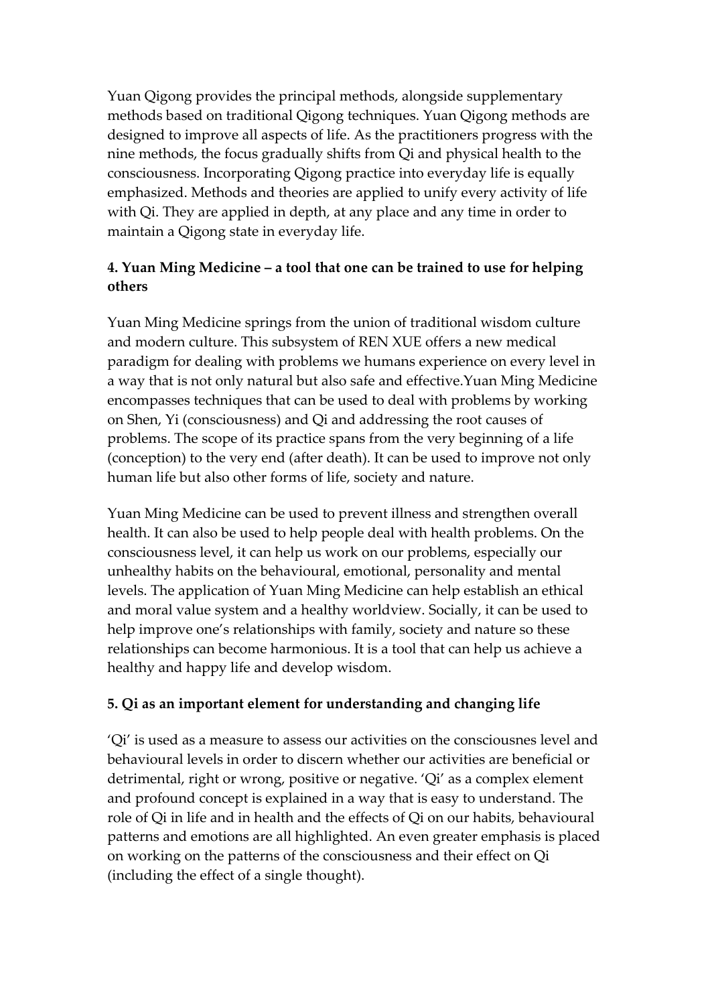Yuan Qigong provides the principal methods, alongside supplementary methods based on traditional Qigong techniques. Yuan Qigong methods are designed to improve all aspects of life. As the practitioners progress with the nine methods, the focus gradually shifts from Qi and physical health to the consciousness. Incorporating Qigong practice into everyday life is equally emphasized. Methods and theories are applied to unify every activity of life with Qi. They are applied in depth, at any place and any time in order to maintain a Qigong state in everyday life.

# **4. Yuan Ming Medicine – a tool that one can be trained to use for helping others**

Yuan Ming Medicine springs from the union of traditional wisdom culture and modern culture. This subsystem of REN XUE offers a new medical paradigm for dealing with problems we humans experience on every level in a way that is not only natural but also safe and effective.Yuan Ming Medicine encompasses techniques that can be used to deal with problems by working on Shen, Yi (consciousness) and Qi and addressing the root causes of problems. The scope of its practice spans from the very beginning of a life (conception) to the very end (after death). It can be used to improve not only human life but also other forms of life, society and nature.

Yuan Ming Medicine can be used to prevent illness and strengthen overall health. It can also be used to help people deal with health problems. On the consciousness level, it can help us work on our problems, especially our unhealthy habits on the behavioural, emotional, personality and mental levels. The application of Yuan Ming Medicine can help establish an ethical and moral value system and a healthy worldview. Socially, it can be used to help improve one's relationships with family, society and nature so these relationships can become harmonious. It is a tool that can help us achieve a healthy and happy life and develop wisdom.

# **5. Qi as an important element for understanding and changing life**

'Qi' is used as a measure to assess our activities on the consciousnes level and behavioural levels in order to discern whether our activities are beneficial or detrimental, right or wrong, positive or negative. 'Qi' as a complex element and profound concept is explained in a way that is easy to understand. The role of Qi in life and in health and the effects of Qi on our habits, behavioural patterns and emotions are all highlighted. An even greater emphasis is placed on working on the patterns of the consciousness and their effect on Qi (including the effect of a single thought).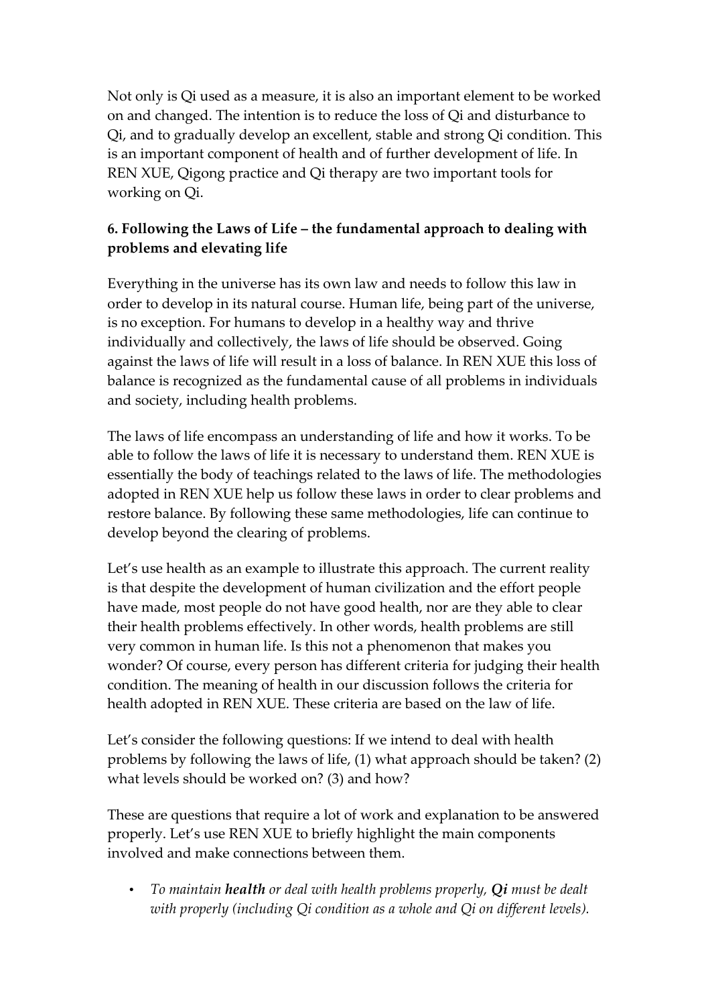Not only is Qi used as a measure, it is also an important element to be worked on and changed. The intention is to reduce the loss of Qi and disturbance to Qi, and to gradually develop an excellent, stable and strong Qi condition. This is an important component of health and of further development of life. In REN XUE, Qigong practice and Qi therapy are two important tools for working on Qi.

# **6. Following the Laws of Life – the fundamental approach to dealing with problems and elevating life**

Everything in the universe has its own law and needs to follow this law in order to develop in its natural course. Human life, being part of the universe, is no exception. For humans to develop in a healthy way and thrive individually and collectively, the laws of life should be observed. Going against the laws of life will result in a loss of balance. In REN XUE this loss of balance is recognized as the fundamental cause of all problems in individuals and society, including health problems.

The laws of life encompass an understanding of life and how it works. To be able to follow the laws of life it is necessary to understand them. REN XUE is essentially the body of teachings related to the laws of life. The methodologies adopted in REN XUE help us follow these laws in order to clear problems and restore balance. By following these same methodologies, life can continue to develop beyond the clearing of problems.

Let's use health as an example to illustrate this approach. The current reality is that despite the development of human civilization and the effort people have made, most people do not have good health, nor are they able to clear their health problems effectively. In other words, health problems are still very common in human life. Is this not a phenomenon that makes you wonder? Of course, every person has different criteria for judging their health condition. The meaning of health in our discussion follows the criteria for health adopted in REN XUE. These criteria are based on the law of life.

Let's consider the following questions: If we intend to deal with health problems by following the laws of life, (1) what approach should be taken? (2) what levels should be worked on? (3) and how?

These are questions that require a lot of work and explanation to be answered properly. Let's use REN XUE to briefly highlight the main components involved and make connections between them.

• *To maintain health or deal with health problems properly, Qi must be dealt with properly (including Qi condition as a whole and Qi on different levels).*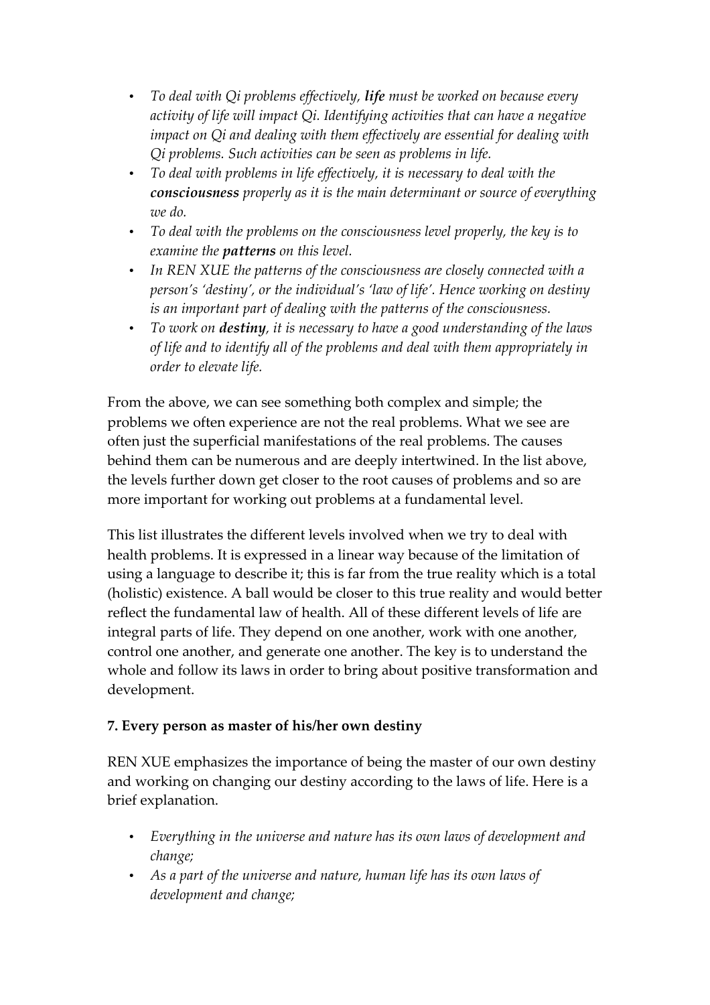- *To deal with Qi problems effectively, life must be worked on because every activity of life will impact Qi. Identifying activities that can have a negative impact on Qi and dealing with them effectively are essential for dealing with Qi problems. Such activities can be seen as problems in life.*
- *To deal with problems in life effectively, it is necessary to deal with the consciousness properly as it is the main determinant or source of everything we do.*
- *To deal with the problems on the consciousness level properly, the key is to examine the patterns on this level.*
- *In REN XUE the patterns of the consciousness are closely connected with a person's 'destiny', or the individual's 'law of life'. Hence working on destiny is an important part of dealing with the patterns of the consciousness.*
- *To work on destiny, it is necessary to have a good understanding of the laws of life and to identify all of the problems and deal with them appropriately in order to elevate life.*

From the above, we can see something both complex and simple; the problems we often experience are not the real problems. What we see are often just the superficial manifestations of the real problems. The causes behind them can be numerous and are deeply intertwined. In the list above, the levels further down get closer to the root causes of problems and so are more important for working out problems at a fundamental level.

This list illustrates the different levels involved when we try to deal with health problems. It is expressed in a linear way because of the limitation of using a language to describe it; this is far from the true reality which is a total (holistic) existence. A ball would be closer to this true reality and would better reflect the fundamental law of health. All of these different levels of life are integral parts of life. They depend on one another, work with one another, control one another, and generate one another. The key is to understand the whole and follow its laws in order to bring about positive transformation and development.

# **7. Every person as master of his/her own destiny**

REN XUE emphasizes the importance of being the master of our own destiny and working on changing our destiny according to the laws of life. Here is a brief explanation.

- *Everything in the universe and nature has its own laws of development and change;*
- *As a part of the universe and nature, human life has its own laws of development and change;*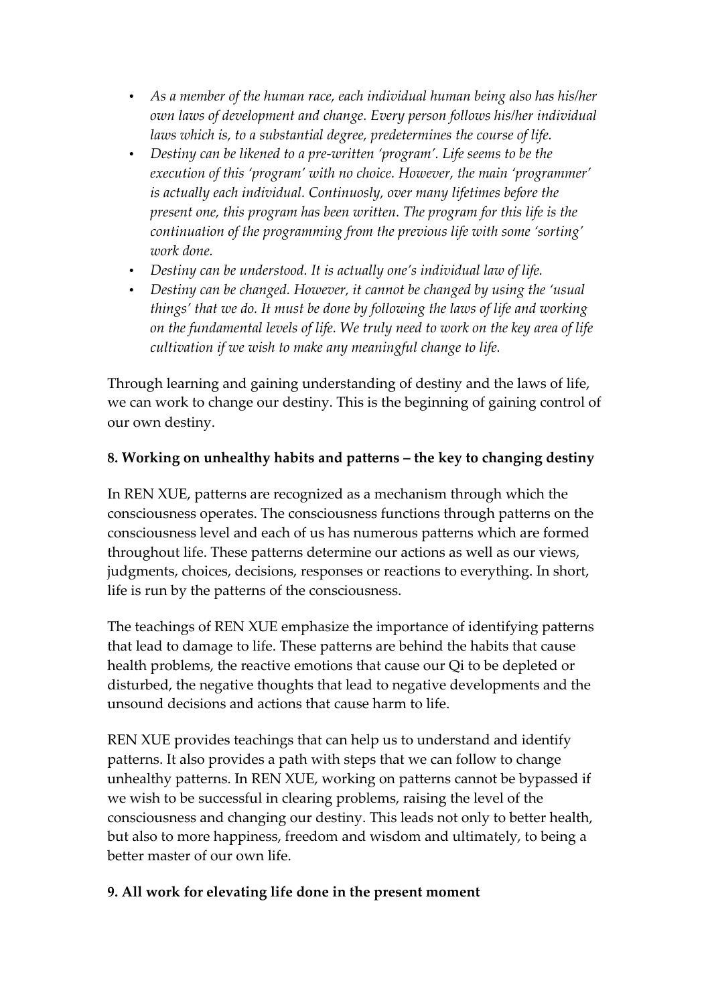- *As a member of the human race, each individual human being also has his/her own laws of development and change. Every person follows his/her individual laws which is, to a substantial degree, predetermines the course of life.*
- *Destiny can be likened to a pre-written 'program'. Life seems to be the execution of this 'program' with no choice. However, the main 'programmer' is actually each individual. Continuosly, over many lifetimes before the present one, this program has been written. The program for this life is the continuation of the programming from the previous life with some 'sorting' work done.*
- *Destiny can be understood. It is actually one's individual law of life.*
- *Destiny can be changed. However, it cannot be changed by using the 'usual things' that we do. It must be done by following the laws of life and working on the fundamental levels of life. We truly need to work on the key area of life cultivation if we wish to make any meaningful change to life.*

Through learning and gaining understanding of destiny and the laws of life, we can work to change our destiny. This is the beginning of gaining control of our own destiny.

# **8. Working on unhealthy habits and patterns – the key to changing destiny**

In REN XUE, patterns are recognized as a mechanism through which the consciousness operates. The consciousness functions through patterns on the consciousness level and each of us has numerous patterns which are formed throughout life. These patterns determine our actions as well as our views, judgments, choices, decisions, responses or reactions to everything. In short, life is run by the patterns of the consciousness.

The teachings of REN XUE emphasize the importance of identifying patterns that lead to damage to life. These patterns are behind the habits that cause health problems, the reactive emotions that cause our Qi to be depleted or disturbed, the negative thoughts that lead to negative developments and the unsound decisions and actions that cause harm to life.

REN XUE provides teachings that can help us to understand and identify patterns. It also provides a path with steps that we can follow to change unhealthy patterns. In REN XUE, working on patterns cannot be bypassed if we wish to be successful in clearing problems, raising the level of the consciousness and changing our destiny. This leads not only to better health, but also to more happiness, freedom and wisdom and ultimately, to being a better master of our own life.

#### **9. All work for elevating life done in the present moment**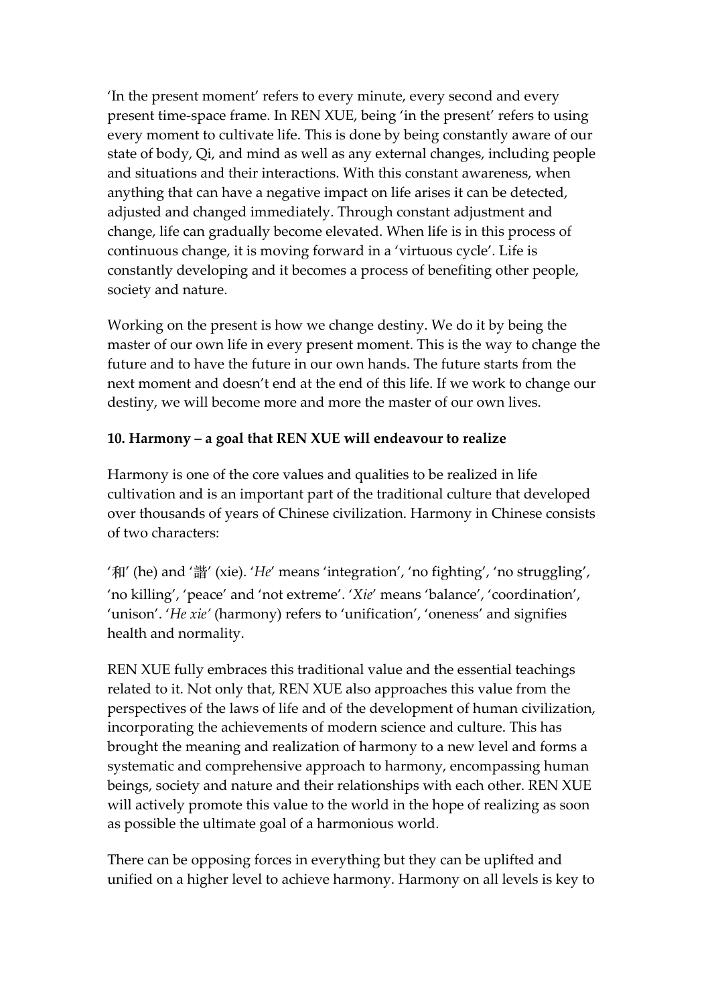'In the present moment' refers to every minute, every second and every present time-space frame. In REN XUE, being 'in the present' refers to using every moment to cultivate life. This is done by being constantly aware of our state of body, Qi, and mind as well as any external changes, including people and situations and their interactions. With this constant awareness, when anything that can have a negative impact on life arises it can be detected, adjusted and changed immediately. Through constant adjustment and change, life can gradually become elevated. When life is in this process of continuous change, it is moving forward in a 'virtuous cycle'. Life is constantly developing and it becomes a process of benefiting other people, society and nature.

Working on the present is how we change destiny. We do it by being the master of our own life in every present moment. This is the way to change the future and to have the future in our own hands. The future starts from the next moment and doesn't end at the end of this life. If we work to change our destiny, we will become more and more the master of our own lives.

#### **10. Harmony – a goal that REN XUE will endeavour to realize**

Harmony is one of the core values and qualities to be realized in life cultivation and is an important part of the traditional culture that developed over thousands of years of Chinese civilization. Harmony in Chinese consists of two characters:

'和' (he) and '諧' (xie). '*He*' means 'integration', 'no fighting', 'no struggling', 'no killing', 'peace' and 'not extreme'. '*Xie*' means 'balance', 'coordination', 'unison'. '*He xie'* (harmony) refers to 'unification', 'oneness' and signifies health and normality.

REN XUE fully embraces this traditional value and the essential teachings related to it. Not only that, REN XUE also approaches this value from the perspectives of the laws of life and of the development of human civilization, incorporating the achievements of modern science and culture. This has brought the meaning and realization of harmony to a new level and forms a systematic and comprehensive approach to harmony, encompassing human beings, society and nature and their relationships with each other. REN XUE will actively promote this value to the world in the hope of realizing as soon as possible the ultimate goal of a harmonious world.

There can be opposing forces in everything but they can be uplifted and unified on a higher level to achieve harmony. Harmony on all levels is key to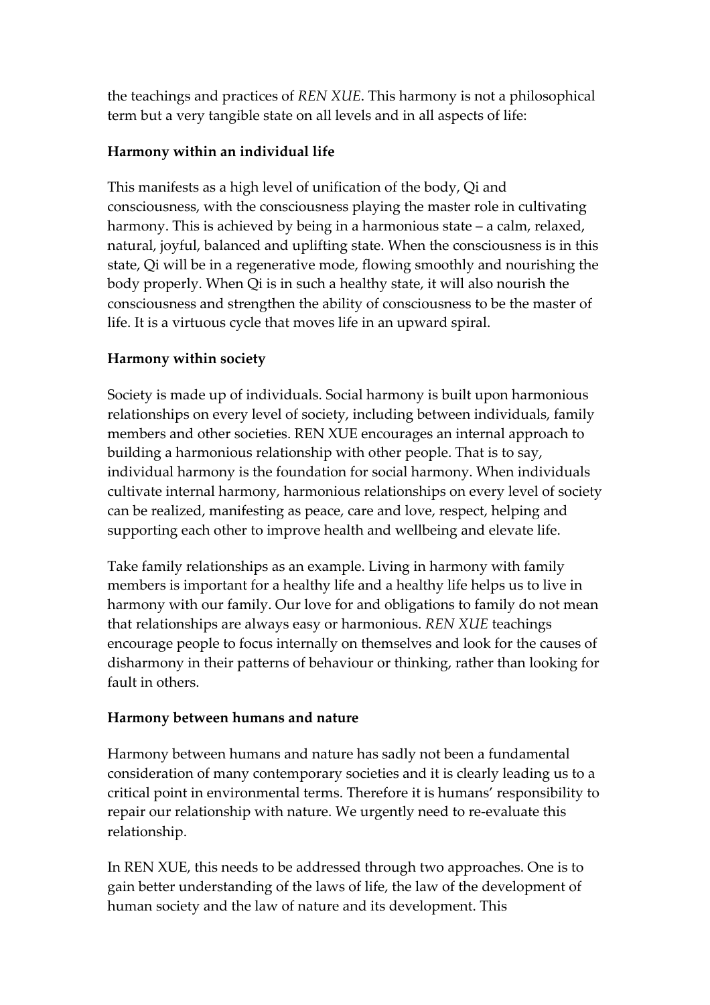the teachings and practices of *REN XUE*. This harmony is not a philosophical term but a very tangible state on all levels and in all aspects of life:

# **Harmony within an individual life**

This manifests as a high level of unification of the body, Qi and consciousness, with the consciousness playing the master role in cultivating harmony. This is achieved by being in a harmonious state – a calm, relaxed, natural, joyful, balanced and uplifting state. When the consciousness is in this state, Qi will be in a regenerative mode, flowing smoothly and nourishing the body properly. When Qi is in such a healthy state, it will also nourish the consciousness and strengthen the ability of consciousness to be the master of life. It is a virtuous cycle that moves life in an upward spiral.

# **Harmony within society**

Society is made up of individuals. Social harmony is built upon harmonious relationships on every level of society, including between individuals, family members and other societies. REN XUE encourages an internal approach to building a harmonious relationship with other people. That is to say, individual harmony is the foundation for social harmony. When individuals cultivate internal harmony, harmonious relationships on every level of society can be realized, manifesting as peace, care and love, respect, helping and supporting each other to improve health and wellbeing and elevate life.

Take family relationships as an example. Living in harmony with family members is important for a healthy life and a healthy life helps us to live in harmony with our family. Our love for and obligations to family do not mean that relationships are always easy or harmonious. *REN XUE* teachings encourage people to focus internally on themselves and look for the causes of disharmony in their patterns of behaviour or thinking, rather than looking for fault in others.

# **Harmony between humans and nature**

Harmony between humans and nature has sadly not been a fundamental consideration of many contemporary societies and it is clearly leading us to a critical point in environmental terms. Therefore it is humans' responsibility to repair our relationship with nature. We urgently need to re-evaluate this relationship.

In REN XUE, this needs to be addressed through two approaches. One is to gain better understanding of the laws of life, the law of the development of human society and the law of nature and its development. This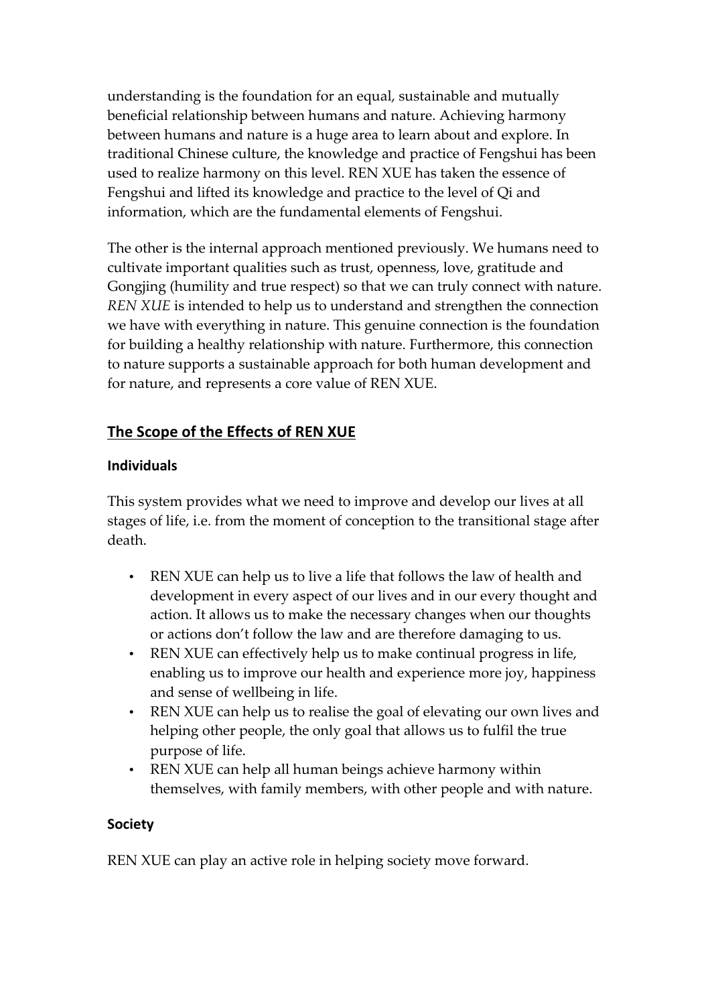understanding is the foundation for an equal, sustainable and mutually beneficial relationship between humans and nature. Achieving harmony between humans and nature is a huge area to learn about and explore. In traditional Chinese culture, the knowledge and practice of Fengshui has been used to realize harmony on this level. REN XUE has taken the essence of Fengshui and lifted its knowledge and practice to the level of Qi and information, which are the fundamental elements of Fengshui.

The other is the internal approach mentioned previously. We humans need to cultivate important qualities such as trust, openness, love, gratitude and Gongjing (humility and true respect) so that we can truly connect with nature. *REN XUE* is intended to help us to understand and strengthen the connection we have with everything in nature. This genuine connection is the foundation for building a healthy relationship with nature. Furthermore, this connection to nature supports a sustainable approach for both human development and for nature, and represents a core value of REN XUE.

# The Scope of the Effects of REN XUE

#### **Individuals**

This system provides what we need to improve and develop our lives at all stages of life, i.e. from the moment of conception to the transitional stage after death.

- REN XUE can help us to live a life that follows the law of health and development in every aspect of our lives and in our every thought and action. It allows us to make the necessary changes when our thoughts or actions don't follow the law and are therefore damaging to us.
- REN XUE can effectively help us to make continual progress in life, enabling us to improve our health and experience more joy, happiness and sense of wellbeing in life.
- REN XUE can help us to realise the goal of elevating our own lives and helping other people, the only goal that allows us to fulfil the true purpose of life.
- REN XUE can help all human beings achieve harmony within themselves, with family members, with other people and with nature.

#### **Society**

REN XUE can play an active role in helping society move forward.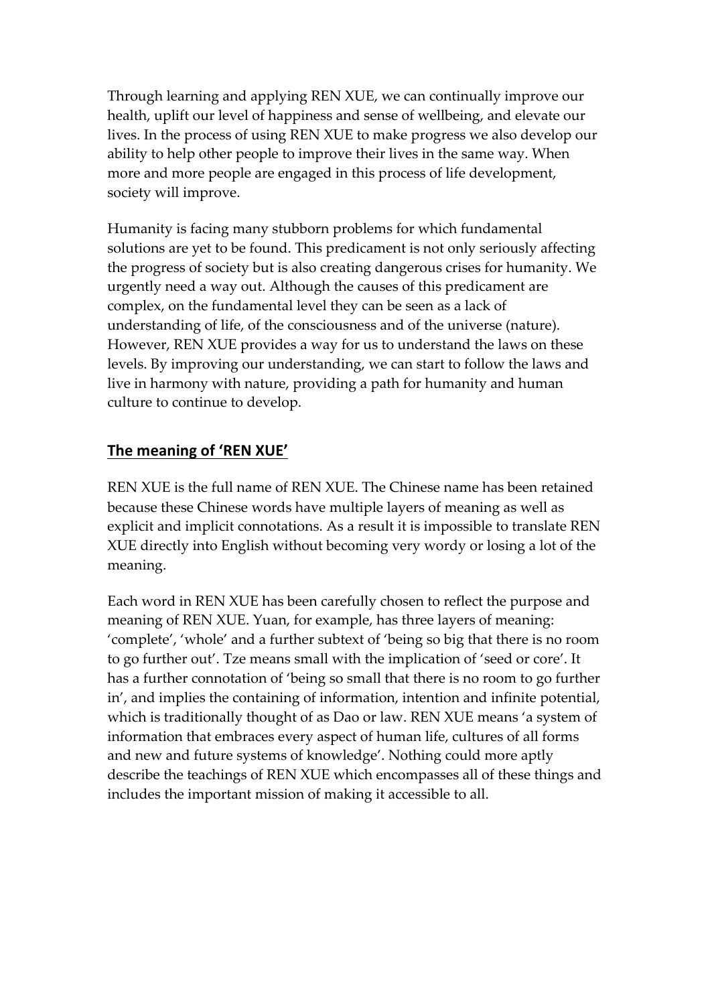Through learning and applying REN XUE, we can continually improve our health, uplift our level of happiness and sense of wellbeing, and elevate our lives. In the process of using REN XUE to make progress we also develop our ability to help other people to improve their lives in the same way. When more and more people are engaged in this process of life development, society will improve.

Humanity is facing many stubborn problems for which fundamental solutions are yet to be found. This predicament is not only seriously affecting the progress of society but is also creating dangerous crises for humanity. We urgently need a way out. Although the causes of this predicament are complex, on the fundamental level they can be seen as a lack of understanding of life, of the consciousness and of the universe (nature). However, REN XUE provides a way for us to understand the laws on these levels. By improving our understanding, we can start to follow the laws and live in harmony with nature, providing a path for humanity and human culture to continue to develop.

#### The meaning of 'REN XUE'

REN XUE is the full name of REN XUE. The Chinese name has been retained because these Chinese words have multiple layers of meaning as well as explicit and implicit connotations. As a result it is impossible to translate REN XUE directly into English without becoming very wordy or losing a lot of the meaning.

Each word in REN XUE has been carefully chosen to reflect the purpose and meaning of REN XUE. Yuan, for example, has three layers of meaning: 'complete', 'whole' and a further subtext of 'being so big that there is no room to go further out'. Tze means small with the implication of 'seed or core'. It has a further connotation of 'being so small that there is no room to go further in', and implies the containing of information, intention and infinite potential, which is traditionally thought of as Dao or law. REN XUE means 'a system of information that embraces every aspect of human life, cultures of all forms and new and future systems of knowledge'. Nothing could more aptly describe the teachings of REN XUE which encompasses all of these things and includes the important mission of making it accessible to all.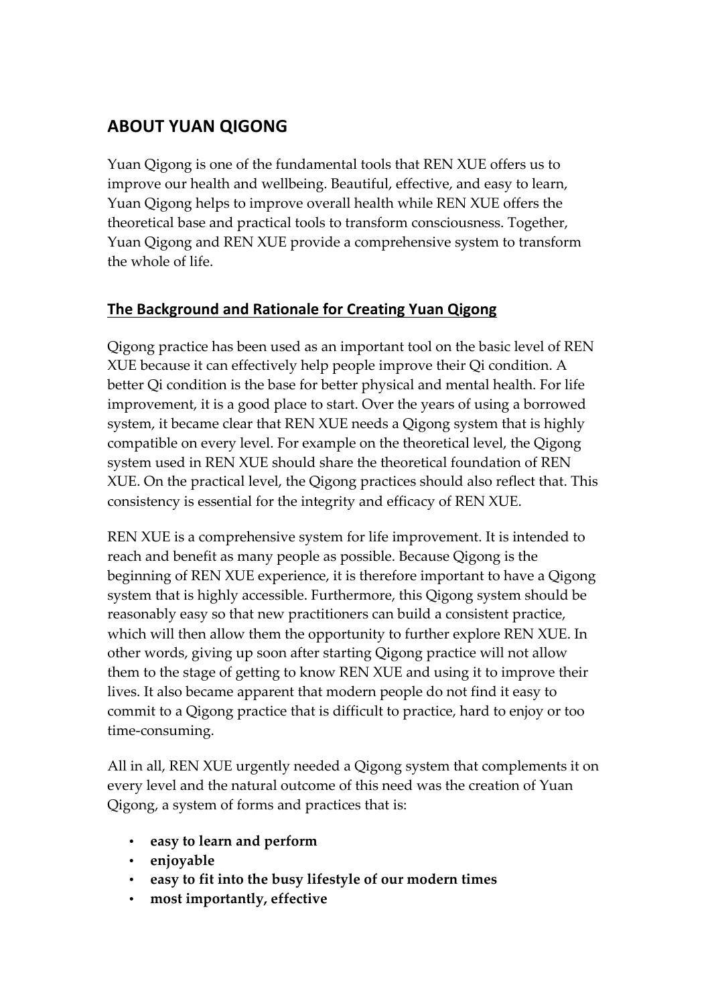# **ABOUT YUAN QIGONG**

Yuan Qigong is one of the fundamental tools that REN XUE offers us to improve our health and wellbeing. Beautiful, effective, and easy to learn, Yuan Qigong helps to improve overall health while REN XUE offers the theoretical base and practical tools to transform consciousness. Together, Yuan Qigong and REN XUE provide a comprehensive system to transform the whole of life.

# **The Background and Rationale for Creating Yuan Qigong**

Qigong practice has been used as an important tool on the basic level of REN XUE because it can effectively help people improve their Qi condition. A better Qi condition is the base for better physical and mental health. For life improvement, it is a good place to start. Over the years of using a borrowed system, it became clear that REN XUE needs a Qigong system that is highly compatible on every level. For example on the theoretical level, the Qigong system used in REN XUE should share the theoretical foundation of REN XUE. On the practical level, the Qigong practices should also reflect that. This consistency is essential for the integrity and efficacy of REN XUE.

REN XUE is a comprehensive system for life improvement. It is intended to reach and benefit as many people as possible. Because Qigong is the beginning of REN XUE experience, it is therefore important to have a Qigong system that is highly accessible. Furthermore, this Qigong system should be reasonably easy so that new practitioners can build a consistent practice, which will then allow them the opportunity to further explore REN XUE. In other words, giving up soon after starting Qigong practice will not allow them to the stage of getting to know REN XUE and using it to improve their lives. It also became apparent that modern people do not find it easy to commit to a Qigong practice that is difficult to practice, hard to enjoy or too time-consuming.

All in all, REN XUE urgently needed a Qigong system that complements it on every level and the natural outcome of this need was the creation of Yuan Qigong, a system of forms and practices that is:

- **easy to learn and perform**
- **enjoyable**
- **easy to fit into the busy lifestyle of our modern times**
- **most importantly, effective**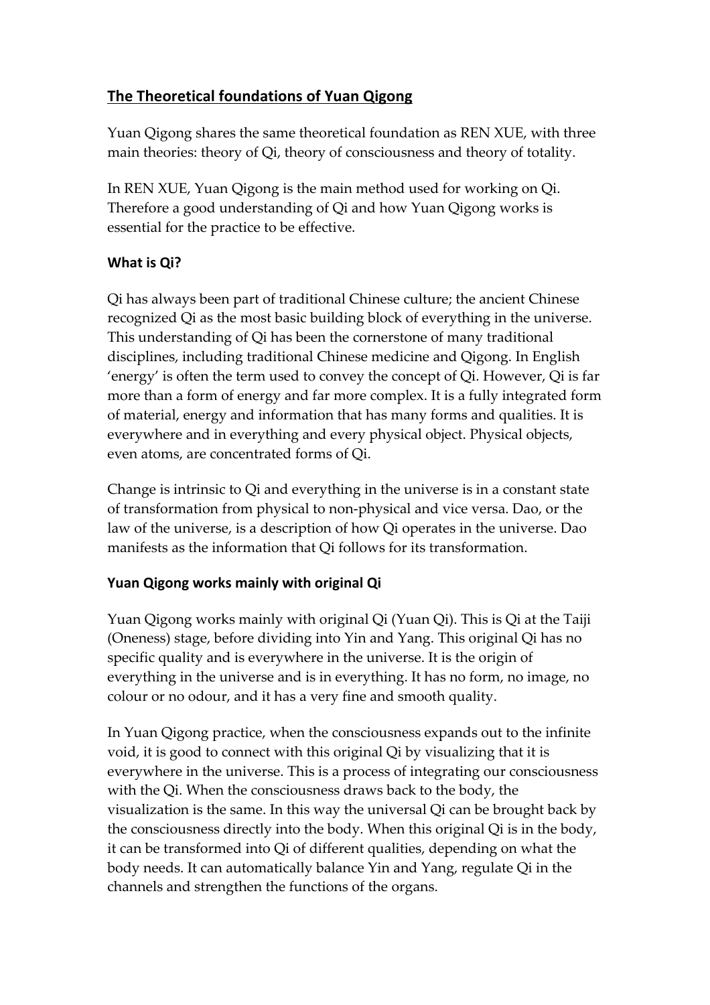# **The Theoretical foundations of Yuan Qigong**

Yuan Qigong shares the same theoretical foundation as REN XUE, with three main theories: theory of Qi, theory of consciousness and theory of totality.

In REN XUE, Yuan Qigong is the main method used for working on Qi. Therefore a good understanding of Qi and how Yuan Qigong works is essential for the practice to be effective.

# **What is Qi?**

Qi has always been part of traditional Chinese culture; the ancient Chinese recognized Qi as the most basic building block of everything in the universe. This understanding of Qi has been the cornerstone of many traditional disciplines, including traditional Chinese medicine and Qigong. In English 'energy' is often the term used to convey the concept of Qi. However, Qi is far more than a form of energy and far more complex. It is a fully integrated form of material, energy and information that has many forms and qualities. It is everywhere and in everything and every physical object. Physical objects, even atoms, are concentrated forms of Qi.

Change is intrinsic to Qi and everything in the universe is in a constant state of transformation from physical to non-physical and vice versa. Dao, or the law of the universe, is a description of how Qi operates in the universe. Dao manifests as the information that Qi follows for its transformation.

# Yuan Qigong works mainly with original Qi

Yuan Qigong works mainly with original Qi (Yuan Qi). This is Qi at the Taiji (Oneness) stage, before dividing into Yin and Yang. This original Qi has no specific quality and is everywhere in the universe. It is the origin of everything in the universe and is in everything. It has no form, no image, no colour or no odour, and it has a very fine and smooth quality.

In Yuan Qigong practice, when the consciousness expands out to the infinite void, it is good to connect with this original Qi by visualizing that it is everywhere in the universe. This is a process of integrating our consciousness with the Qi. When the consciousness draws back to the body, the visualization is the same. In this way the universal Qi can be brought back by the consciousness directly into the body. When this original Qi is in the body, it can be transformed into Qi of different qualities, depending on what the body needs. It can automatically balance Yin and Yang, regulate Qi in the channels and strengthen the functions of the organs.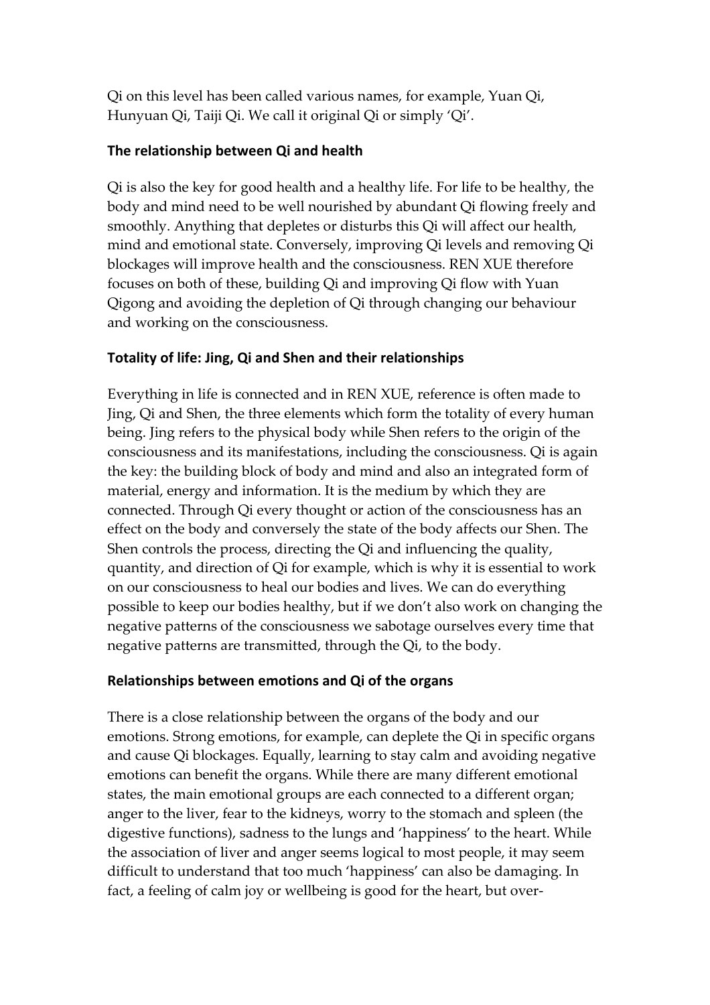Qi on this level has been called various names, for example, Yuan Qi, Hunyuan Qi, Taiji Qi. We call it original Qi or simply 'Qi'.

#### **The relationship between Qi and health**

Qi is also the key for good health and a healthy life. For life to be healthy, the body and mind need to be well nourished by abundant Qi flowing freely and smoothly. Anything that depletes or disturbs this Qi will affect our health, mind and emotional state. Conversely, improving Qi levels and removing Qi blockages will improve health and the consciousness. REN XUE therefore focuses on both of these, building Qi and improving Qi flow with Yuan Qigong and avoiding the depletion of Qi through changing our behaviour and working on the consciousness.

#### Totality of life: Jing, Qi and Shen and their relationships

Everything in life is connected and in REN XUE, reference is often made to Jing, Qi and Shen, the three elements which form the totality of every human being. Jing refers to the physical body while Shen refers to the origin of the consciousness and its manifestations, including the consciousness. Qi is again the key: the building block of body and mind and also an integrated form of material, energy and information. It is the medium by which they are connected. Through Qi every thought or action of the consciousness has an effect on the body and conversely the state of the body affects our Shen. The Shen controls the process, directing the Qi and influencing the quality, quantity, and direction of Qi for example, which is why it is essential to work on our consciousness to heal our bodies and lives. We can do everything possible to keep our bodies healthy, but if we don't also work on changing the negative patterns of the consciousness we sabotage ourselves every time that negative patterns are transmitted, through the Qi, to the body.

# **Relationships between emotions and Qi of the organs**

There is a close relationship between the organs of the body and our emotions. Strong emotions, for example, can deplete the Qi in specific organs and cause Qi blockages. Equally, learning to stay calm and avoiding negative emotions can benefit the organs. While there are many different emotional states, the main emotional groups are each connected to a different organ; anger to the liver, fear to the kidneys, worry to the stomach and spleen (the digestive functions), sadness to the lungs and 'happiness' to the heart. While the association of liver and anger seems logical to most people, it may seem difficult to understand that too much 'happiness' can also be damaging. In fact, a feeling of calm joy or wellbeing is good for the heart, but over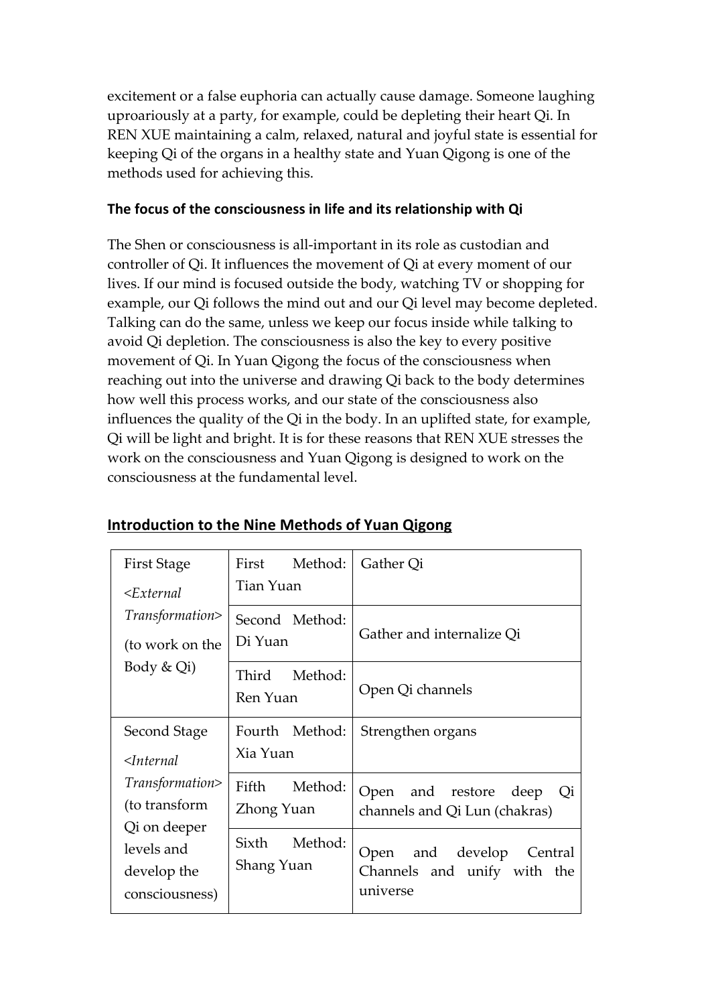excitement or a false euphoria can actually cause damage. Someone laughing uproariously at a party, for example, could be depleting their heart Qi. In REN XUE maintaining a calm, relaxed, natural and joyful state is essential for keeping Qi of the organs in a healthy state and Yuan Qigong is one of the methods used for achieving this.

#### The focus of the consciousness in life and its relationship with Qi

The Shen or consciousness is all-important in its role as custodian and controller of Qi. It influences the movement of Qi at every moment of our lives. If our mind is focused outside the body, watching TV or shopping for example, our Qi follows the mind out and our Qi level may become depleted. Talking can do the same, unless we keep our focus inside while talking to avoid Qi depletion. The consciousness is also the key to every positive movement of Qi. In Yuan Qigong the focus of the consciousness when reaching out into the universe and drawing Qi back to the body determines how well this process works, and our state of the consciousness also influences the quality of the Qi in the body. In an uplifted state, for example, Qi will be light and bright. It is for these reasons that REN XUE stresses the work on the consciousness and Yuan Qigong is designed to work on the consciousness at the fundamental level.

| First Stage          | First Method:    | Gather Qi                      |
|----------------------|------------------|--------------------------------|
| $<$ External         | Tian Yuan        |                                |
| Transformation>      | Second Method:   | Gather and internalize Qi      |
| (to work on the      | Di Yuan          |                                |
| Body & Qi)           | Third<br>Method: |                                |
|                      | Ren Yuan         | Open Qi channels               |
| Second Stage         | Fourth Method:   | Strengthen organs              |
| $\triangle$ Internal | Xia Yuan         |                                |
| Transformation>      | Method:<br>Fifth | Open and restore deep<br>Qi    |
| (to transform        | Zhong Yuan       | channels and Qi Lun (chakras)  |
| Qi on deeper         | Sixth Method:    |                                |
| levels and           |                  | Open<br>and develop<br>Central |
| develop the          | Shang Yuan       | Channels and unify with the    |
| consciousness)       |                  | universe                       |

#### **Introduction to the Nine Methods of Yuan Qigong**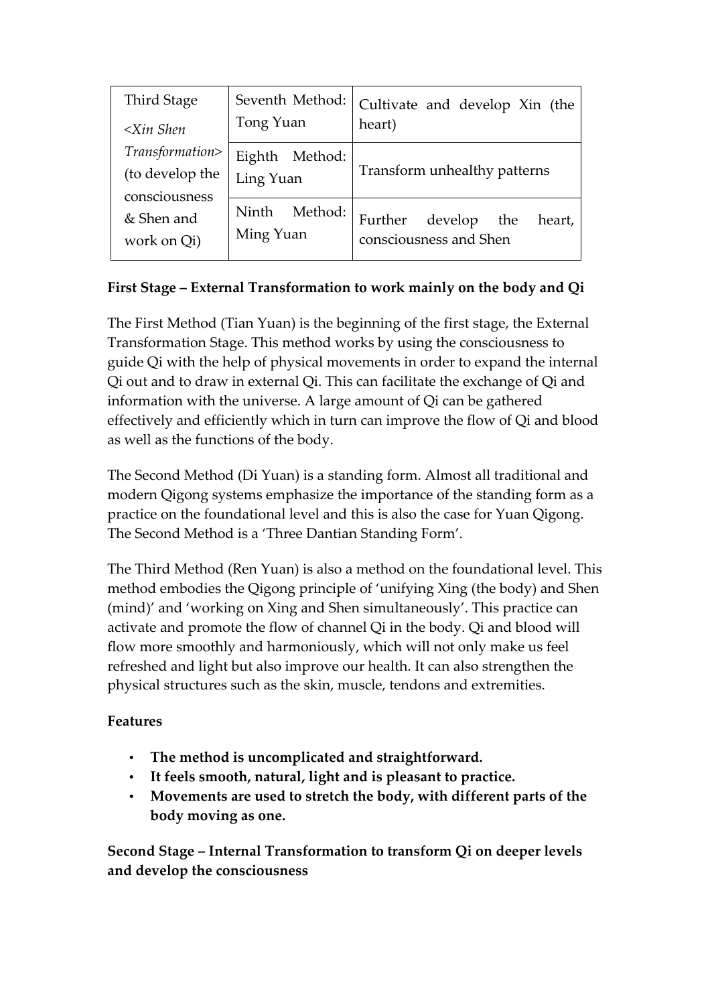| <b>Third Stage</b><br>$\leq$ Xin Shen               | Seventh Method:<br>Tong Yuan  | Cultivate and develop Xin (the<br>heart)                      |
|-----------------------------------------------------|-------------------------------|---------------------------------------------------------------|
| Transformation><br>(to develop the<br>consciousness | Eighth Method:<br>Ling Yuan   | Transform unhealthy patterns                                  |
| & Shen and<br>work on Qi)                           | Method:<br>Ninth<br>Ming Yuan | Further<br>develop<br>heart,<br>the<br>consciousness and Shen |

# **First Stage – External Transformation to work mainly on the body and Qi**

The First Method (Tian Yuan) is the beginning of the first stage, the External Transformation Stage. This method works by using the consciousness to guide Qi with the help of physical movements in order to expand the internal Qi out and to draw in external Qi. This can facilitate the exchange of Qi and information with the universe. A large amount of Qi can be gathered effectively and efficiently which in turn can improve the flow of Qi and blood as well as the functions of the body.

The Second Method (Di Yuan) is a standing form. Almost all traditional and modern Qigong systems emphasize the importance of the standing form as a practice on the foundational level and this is also the case for Yuan Qigong. The Second Method is a 'Three Dantian Standing Form'.

The Third Method (Ren Yuan) is also a method on the foundational level. This method embodies the Qigong principle of 'unifying Xing (the body) and Shen (mind)' and 'working on Xing and Shen simultaneously'. This practice can activate and promote the flow of channel Qi in the body. Qi and blood will flow more smoothly and harmoniously, which will not only make us feel refreshed and light but also improve our health. It can also strengthen the physical structures such as the skin, muscle, tendons and extremities.

# **Features**

- **The method is uncomplicated and straightforward.**
- **It feels smooth, natural, light and is pleasant to practice.**
- **Movements are used to stretch the body, with different parts of the body moving as one.**

**Second Stage – Internal Transformation to transform Qi on deeper levels and develop the consciousness**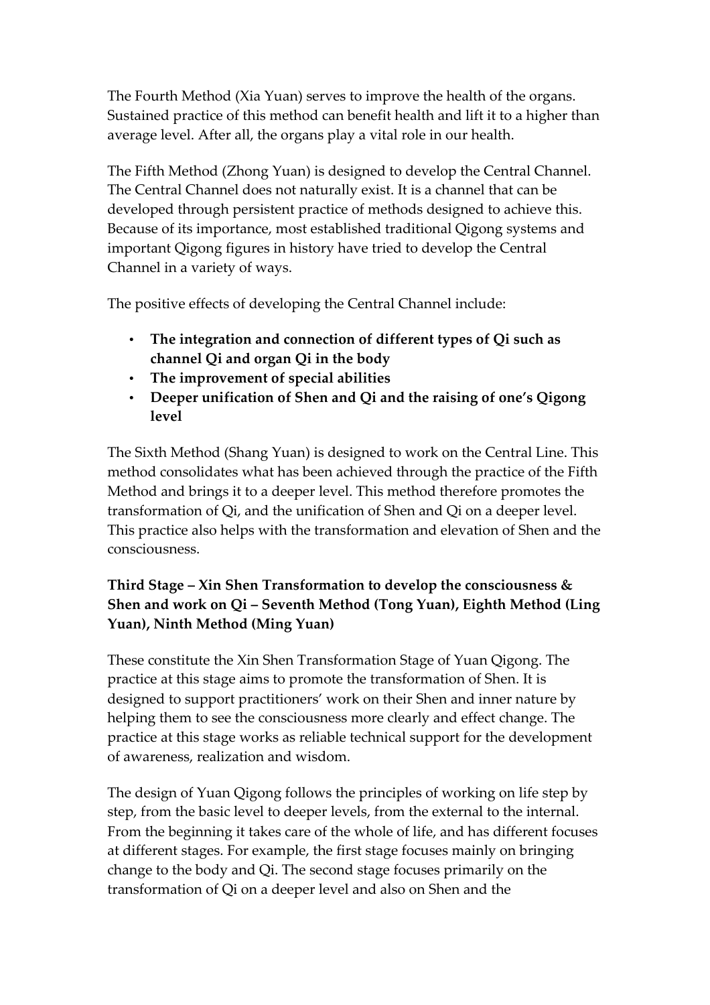The Fourth Method (Xia Yuan) serves to improve the health of the organs. Sustained practice of this method can benefit health and lift it to a higher than average level. After all, the organs play a vital role in our health.

The Fifth Method (Zhong Yuan) is designed to develop the Central Channel. The Central Channel does not naturally exist. It is a channel that can be developed through persistent practice of methods designed to achieve this. Because of its importance, most established traditional Qigong systems and important Qigong figures in history have tried to develop the Central Channel in a variety of ways.

The positive effects of developing the Central Channel include:

- **The integration and connection of different types of Qi such as channel Qi and organ Qi in the body**
- **The improvement of special abilities**
- **Deeper unification of Shen and Qi and the raising of one's Qigong level**

The Sixth Method (Shang Yuan) is designed to work on the Central Line. This method consolidates what has been achieved through the practice of the Fifth Method and brings it to a deeper level. This method therefore promotes the transformation of Qi, and the unification of Shen and Qi on a deeper level. This practice also helps with the transformation and elevation of Shen and the consciousness.

# **Third Stage – Xin Shen Transformation to develop the consciousness & Shen and work on Qi – Seventh Method (Tong Yuan), Eighth Method (Ling Yuan), Ninth Method (Ming Yuan)**

These constitute the Xin Shen Transformation Stage of Yuan Qigong. The practice at this stage aims to promote the transformation of Shen. It is designed to support practitioners' work on their Shen and inner nature by helping them to see the consciousness more clearly and effect change. The practice at this stage works as reliable technical support for the development of awareness, realization and wisdom.

The design of Yuan Qigong follows the principles of working on life step by step, from the basic level to deeper levels, from the external to the internal. From the beginning it takes care of the whole of life, and has different focuses at different stages. For example, the first stage focuses mainly on bringing change to the body and Qi. The second stage focuses primarily on the transformation of Qi on a deeper level and also on Shen and the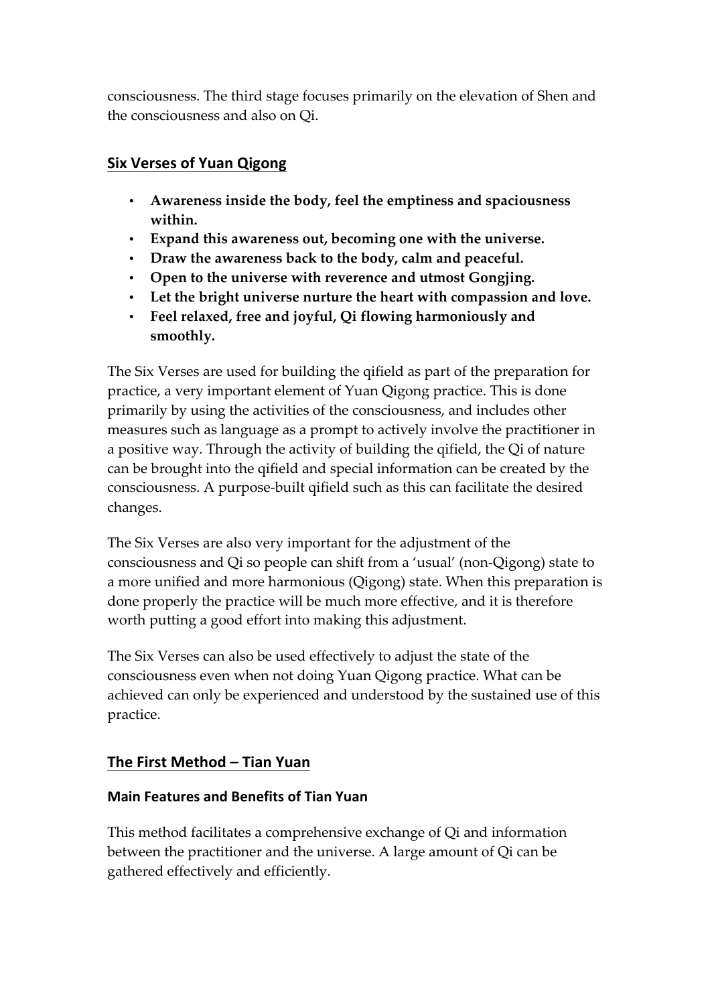consciousness. The third stage focuses primarily on the elevation of Shen and the consciousness and also on Qi.

#### **Six Verses of Yuan Qigong**

- **Awareness inside the body, feel the emptiness and spaciousness within.**
- **Expand this awareness out, becoming one with the universe.**
- **Draw the awareness back to the body, calm and peaceful.**
- **Open to the universe with reverence and utmost Gongjing.**
- **Let the bright universe nurture the heart with compassion and love.**
- **Feel relaxed, free and joyful, Qi flowing harmoniously and smoothly.**

The Six Verses are used for building the qifield as part of the preparation for practice, a very important element of Yuan Qigong practice. This is done primarily by using the activities of the consciousness, and includes other measures such as language as a prompt to actively involve the practitioner in a positive way. Through the activity of building the qifield, the Qi of nature can be brought into the qifield and special information can be created by the consciousness. A purpose-built qifield such as this can facilitate the desired changes.

The Six Verses are also very important for the adjustment of the consciousness and Qi so people can shift from a 'usual' (non-Qigong) state to a more unified and more harmonious (Qigong) state. When this preparation is done properly the practice will be much more effective, and it is therefore worth putting a good effort into making this adjustment.

The Six Verses can also be used effectively to adjust the state of the consciousness even when not doing Yuan Qigong practice. What can be achieved can only be experienced and understood by the sustained use of this practice.

# **The First Method – Tian Yuan**

#### **Main Features and Benefits of Tian Yuan**

This method facilitates a comprehensive exchange of Qi and information between the practitioner and the universe. A large amount of Qi can be gathered effectively and efficiently.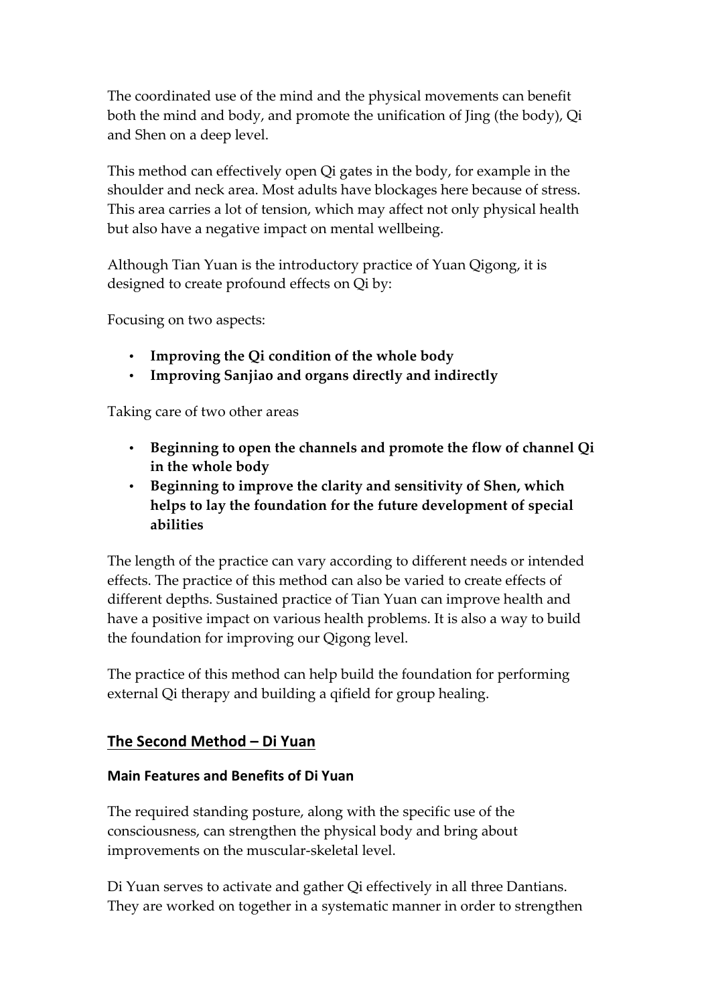The coordinated use of the mind and the physical movements can benefit both the mind and body, and promote the unification of Jing (the body), Qi and Shen on a deep level.

This method can effectively open Qi gates in the body, for example in the shoulder and neck area. Most adults have blockages here because of stress. This area carries a lot of tension, which may affect not only physical health but also have a negative impact on mental wellbeing.

Although Tian Yuan is the introductory practice of Yuan Qigong, it is designed to create profound effects on Qi by:

Focusing on two aspects:

- **Improving the Qi condition of the whole body**
- **Improving Sanjiao and organs directly and indirectly**

Taking care of two other areas

- **Beginning to open the channels and promote the flow of channel Qi in the whole body**
- **Beginning to improve the clarity and sensitivity of Shen, which helps to lay the foundation for the future development of special abilities**

The length of the practice can vary according to different needs or intended effects. The practice of this method can also be varied to create effects of different depths. Sustained practice of Tian Yuan can improve health and have a positive impact on various health problems. It is also a way to build the foundation for improving our Qigong level.

The practice of this method can help build the foundation for performing external Qi therapy and building a qifield for group healing.

#### **The Second Method – Di Yuan**

#### **Main Features and Benefits of Di Yuan**

The required standing posture, along with the specific use of the consciousness, can strengthen the physical body and bring about improvements on the muscular-skeletal level.

Di Yuan serves to activate and gather Qi effectively in all three Dantians. They are worked on together in a systematic manner in order to strengthen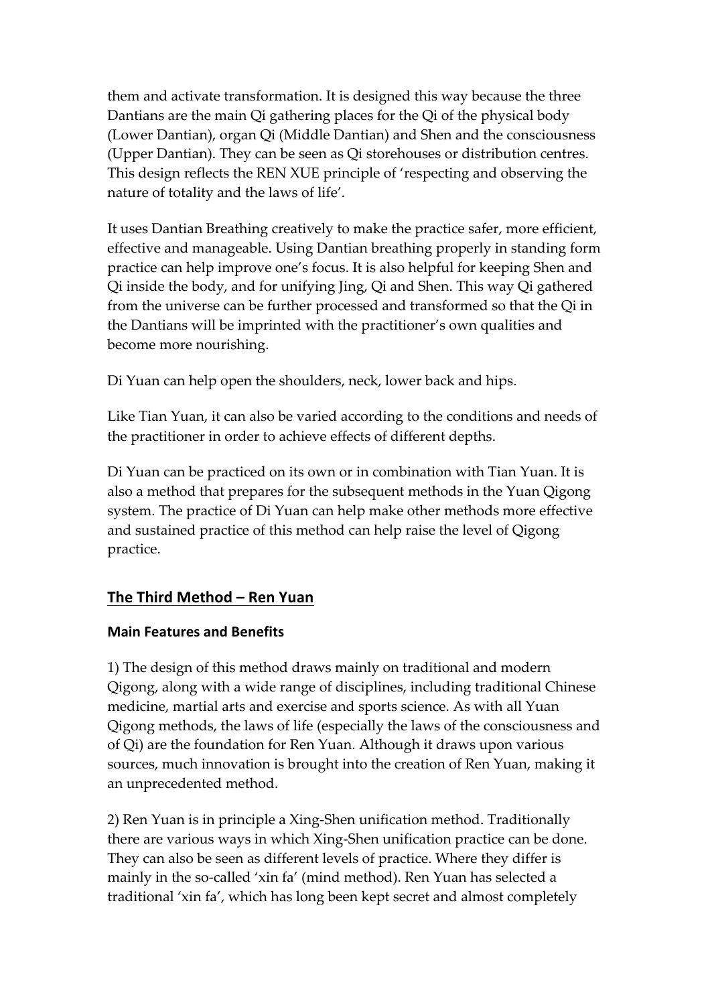them and activate transformation. It is designed this way because the three Dantians are the main Qi gathering places for the Qi of the physical body (Lower Dantian), organ Qi (Middle Dantian) and Shen and the consciousness (Upper Dantian). They can be seen as Qi storehouses or distribution centres. This design reflects the REN XUE principle of 'respecting and observing the nature of totality and the laws of life'.

It uses Dantian Breathing creatively to make the practice safer, more efficient, effective and manageable. Using Dantian breathing properly in standing form practice can help improve one's focus. It is also helpful for keeping Shen and Qi inside the body, and for unifying Jing, Qi and Shen. This way Qi gathered from the universe can be further processed and transformed so that the Qi in the Dantians will be imprinted with the practitioner's own qualities and become more nourishing.

Di Yuan can help open the shoulders, neck, lower back and hips.

Like Tian Yuan, it can also be varied according to the conditions and needs of the practitioner in order to achieve effects of different depths.

Di Yuan can be practiced on its own or in combination with Tian Yuan. It is also a method that prepares for the subsequent methods in the Yuan Qigong system. The practice of Di Yuan can help make other methods more effective and sustained practice of this method can help raise the level of Qigong practice.

# **The Third Method – Ren Yuan**

#### **Main Features and Benefits**

1) The design of this method draws mainly on traditional and modern Qigong, along with a wide range of disciplines, including traditional Chinese medicine, martial arts and exercise and sports science. As with all Yuan Qigong methods, the laws of life (especially the laws of the consciousness and of Qi) are the foundation for Ren Yuan. Although it draws upon various sources, much innovation is brought into the creation of Ren Yuan, making it an unprecedented method.

2) Ren Yuan is in principle a Xing-Shen unification method. Traditionally there are various ways in which Xing-Shen unification practice can be done. They can also be seen as different levels of practice. Where they differ is mainly in the so-called 'xin fa' (mind method). Ren Yuan has selected a traditional 'xin fa', which has long been kept secret and almost completely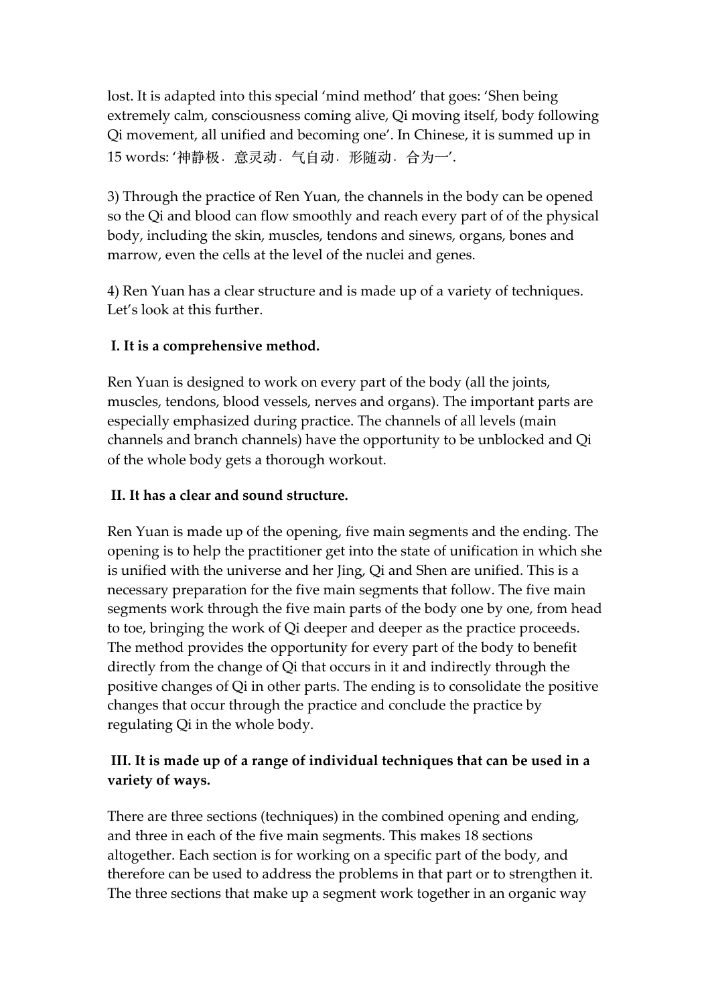lost. It is adapted into this special 'mind method' that goes: 'Shen being extremely calm, consciousness coming alive, Qi moving itself, body following Qi movement, all unified and becoming one'. In Chinese, it is summed up in 15 words: '神静极. 意灵动. 气自动. 形随动. 合为一'.

3) Through the practice of Ren Yuan, the channels in the body can be opened so the Qi and blood can flow smoothly and reach every part of of the physical body, including the skin, muscles, tendons and sinews, organs, bones and marrow, even the cells at the level of the nuclei and genes.

4) Ren Yuan has a clear structure and is made up of a variety of techniques. Let's look at this further.

#### **I. It is a comprehensive method.**

Ren Yuan is designed to work on every part of the body (all the joints, muscles, tendons, blood vessels, nerves and organs). The important parts are especially emphasized during practice. The channels of all levels (main channels and branch channels) have the opportunity to be unblocked and Qi of the whole body gets a thorough workout.

#### **II. It has a clear and sound structure.**

Ren Yuan is made up of the opening, five main segments and the ending. The opening is to help the practitioner get into the state of unification in which she is unified with the universe and her Jing, Qi and Shen are unified. This is a necessary preparation for the five main segments that follow. The five main segments work through the five main parts of the body one by one, from head to toe, bringing the work of Qi deeper and deeper as the practice proceeds. The method provides the opportunity for every part of the body to benefit directly from the change of Qi that occurs in it and indirectly through the positive changes of Qi in other parts. The ending is to consolidate the positive changes that occur through the practice and conclude the practice by regulating Qi in the whole body.

# **III. It is made up of a range of individual techniques that can be used in a variety of ways.**

There are three sections (techniques) in the combined opening and ending, and three in each of the five main segments. This makes 18 sections altogether. Each section is for working on a specific part of the body, and therefore can be used to address the problems in that part or to strengthen it. The three sections that make up a segment work together in an organic way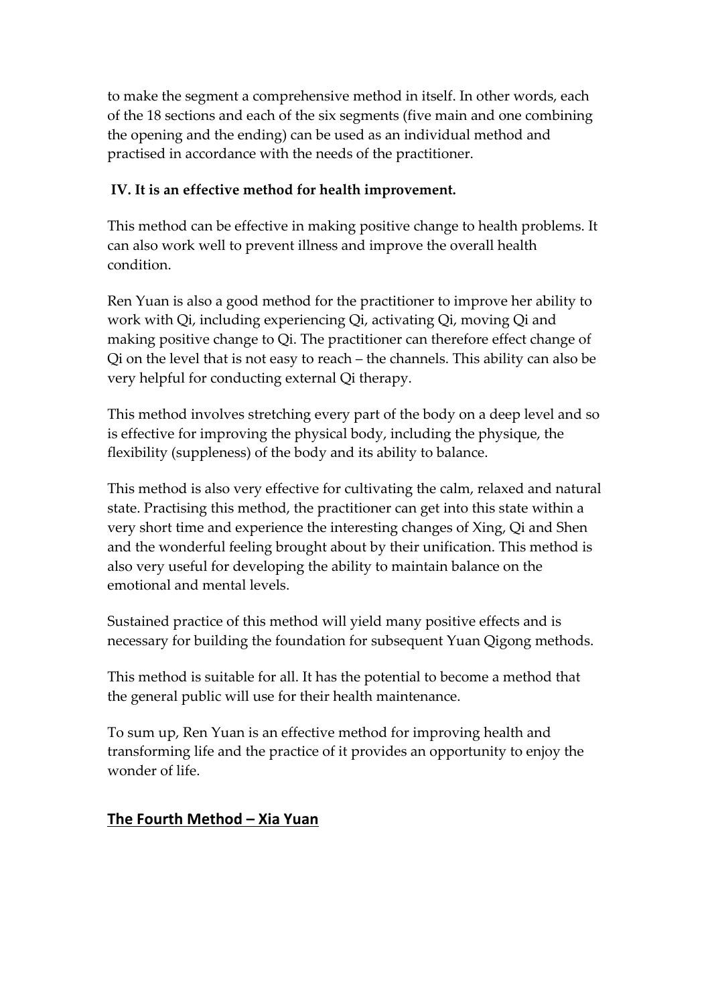to make the segment a comprehensive method in itself. In other words, each of the 18 sections and each of the six segments (five main and one combining the opening and the ending) can be used as an individual method and practised in accordance with the needs of the practitioner.

#### **IV. It is an effective method for health improvement.**

This method can be effective in making positive change to health problems. It can also work well to prevent illness and improve the overall health condition.

Ren Yuan is also a good method for the practitioner to improve her ability to work with Qi, including experiencing Qi, activating Qi, moving Qi and making positive change to Qi. The practitioner can therefore effect change of Qi on the level that is not easy to reach – the channels. This ability can also be very helpful for conducting external Qi therapy.

This method involves stretching every part of the body on a deep level and so is effective for improving the physical body, including the physique, the flexibility (suppleness) of the body and its ability to balance.

This method is also very effective for cultivating the calm, relaxed and natural state. Practising this method, the practitioner can get into this state within a very short time and experience the interesting changes of Xing, Qi and Shen and the wonderful feeling brought about by their unification. This method is also very useful for developing the ability to maintain balance on the emotional and mental levels.

Sustained practice of this method will yield many positive effects and is necessary for building the foundation for subsequent Yuan Qigong methods.

This method is suitable for all. It has the potential to become a method that the general public will use for their health maintenance.

To sum up, Ren Yuan is an effective method for improving health and transforming life and the practice of it provides an opportunity to enjoy the wonder of life.

# **The Fourth Method – Xia Yuan**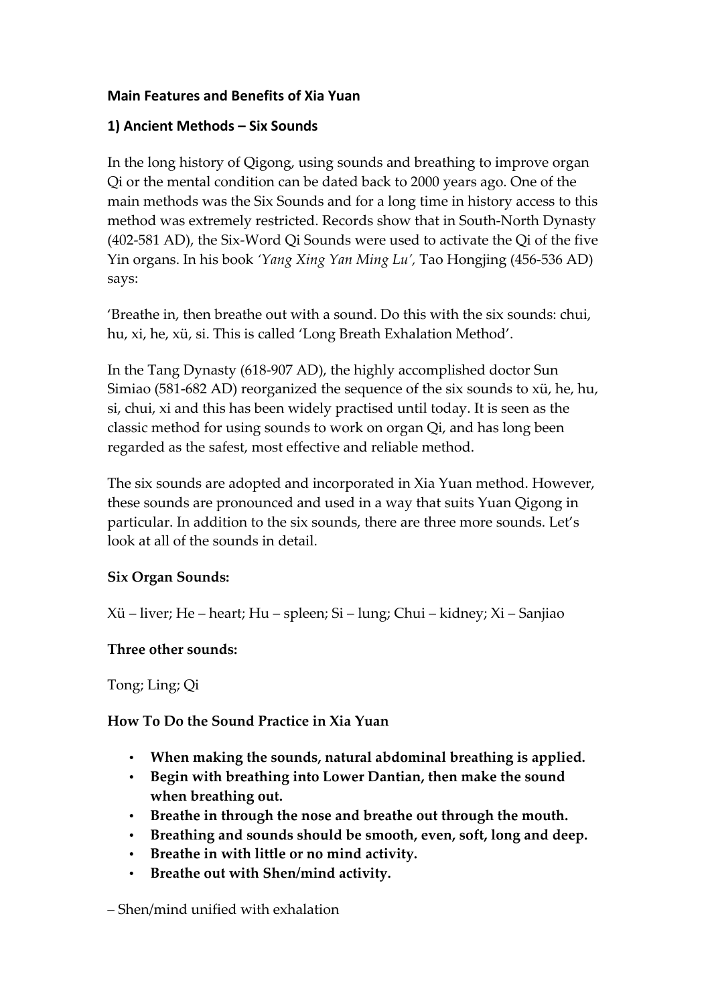#### **Main Features and Benefits of Xia Yuan**

#### **1) Ancient Methods – Six Sounds**

In the long history of Qigong, using sounds and breathing to improve organ Qi or the mental condition can be dated back to 2000 years ago. One of the main methods was the Six Sounds and for a long time in history access to this method was extremely restricted. Records show that in South-North Dynasty (402-581 AD), the Six-Word Qi Sounds were used to activate the Qi of the five Yin organs. In his book *'Yang Xing Yan Ming Lu',* Tao Hongjing (456-536 AD) says:

'Breathe in, then breathe out with a sound. Do this with the six sounds: chui, hu, xi, he, xü, si. This is called 'Long Breath Exhalation Method'.

In the Tang Dynasty (618-907 AD), the highly accomplished doctor Sun Simiao (581-682 AD) reorganized the sequence of the six sounds to xü, he, hu, si, chui, xi and this has been widely practised until today. It is seen as the classic method for using sounds to work on organ Qi, and has long been regarded as the safest, most effective and reliable method.

The six sounds are adopted and incorporated in Xia Yuan method. However, these sounds are pronounced and used in a way that suits Yuan Qigong in particular. In addition to the six sounds, there are three more sounds. Let's look at all of the sounds in detail.

#### **Six Organ Sounds:**

Xü – liver; He – heart; Hu – spleen; Si – lung; Chui – kidney; Xi – Sanjiao

#### **Three other sounds:**

Tong; Ling; Qi

# **How To Do the Sound Practice in Xia Yuan**

- **When making the sounds, natural abdominal breathing is applied.**
- **Begin with breathing into Lower Dantian, then make the sound when breathing out.**
- **Breathe in through the nose and breathe out through the mouth.**
- **Breathing and sounds should be smooth, even, soft, long and deep.**
- **Breathe in with little or no mind activity.**
- **Breathe out with Shen/mind activity.**

– Shen/mind unified with exhalation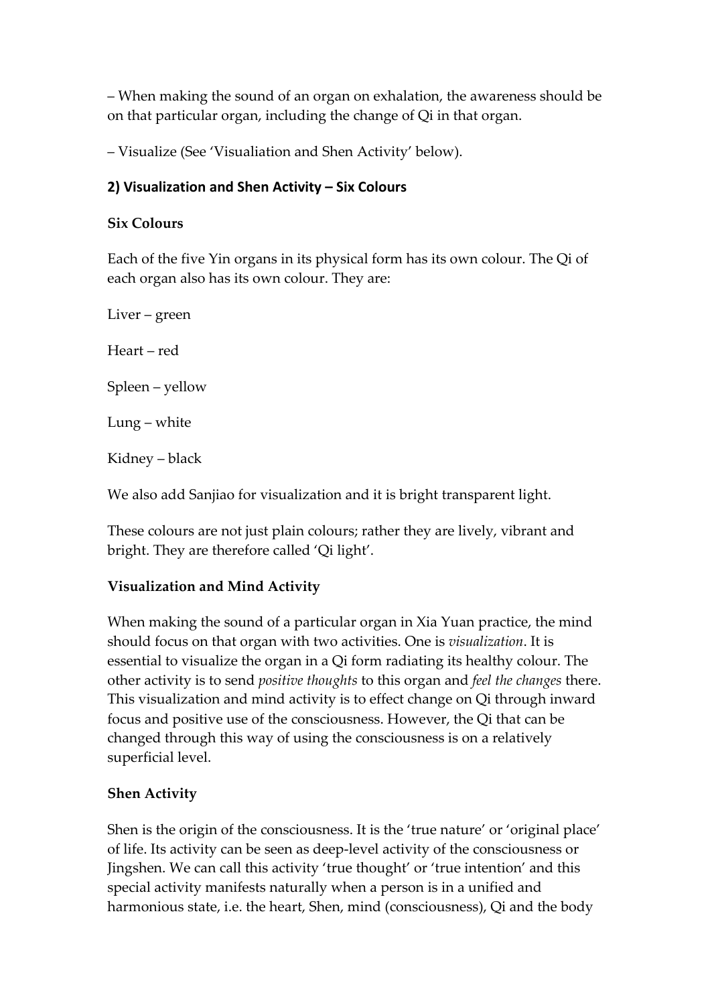– When making the sound of an organ on exhalation, the awareness should be on that particular organ, including the change of Qi in that organ.

– Visualize (See 'Visualiation and Shen Activity' below).

#### **2) Visualization and Shen Activity – Six Colours**

#### **Six Colours**

Each of the five Yin organs in its physical form has its own colour. The Qi of each organ also has its own colour. They are:

Liver – green Heart – red Spleen – yellow Lung – white Kidney – black

We also add Sanjiao for visualization and it is bright transparent light.

These colours are not just plain colours; rather they are lively, vibrant and bright. They are therefore called 'Qi light'.

# **Visualization and Mind Activity**

When making the sound of a particular organ in Xia Yuan practice, the mind should focus on that organ with two activities. One is *visualization*. It is essential to visualize the organ in a Qi form radiating its healthy colour. The other activity is to send *positive thoughts* to this organ and *feel the changes* there. This visualization and mind activity is to effect change on Qi through inward focus and positive use of the consciousness. However, the Qi that can be changed through this way of using the consciousness is on a relatively superficial level.

# **Shen Activity**

Shen is the origin of the consciousness. It is the 'true nature' or 'original place' of life. Its activity can be seen as deep-level activity of the consciousness or Jingshen. We can call this activity 'true thought' or 'true intention' and this special activity manifests naturally when a person is in a unified and harmonious state, i.e. the heart, Shen, mind (consciousness), Qi and the body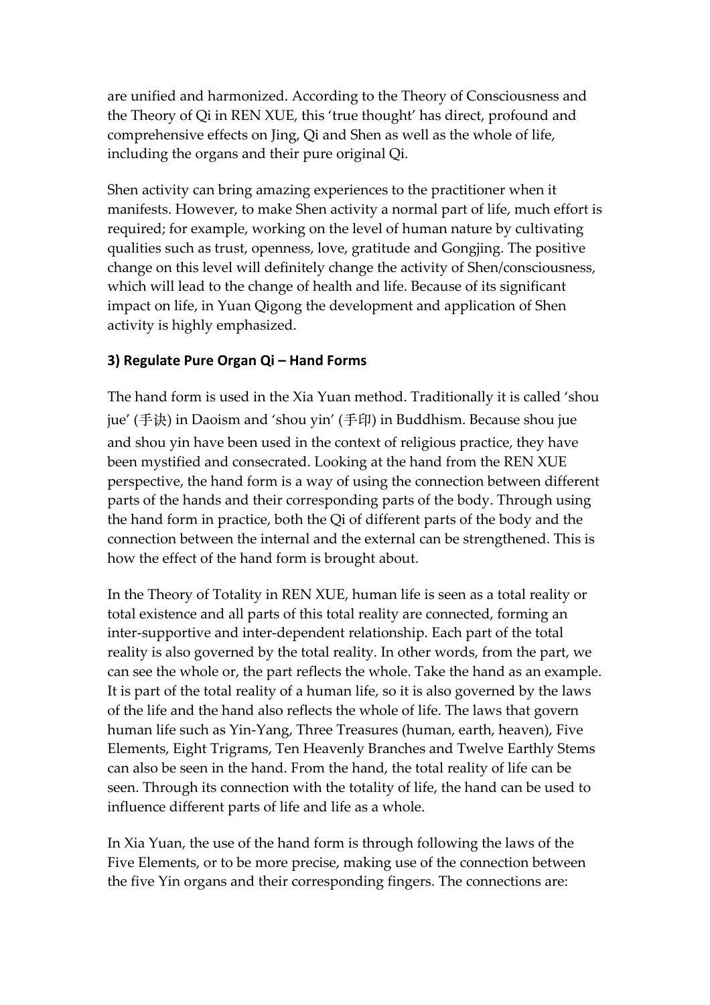are unified and harmonized. According to the Theory of Consciousness and the Theory of Qi in REN XUE, this 'true thought' has direct, profound and comprehensive effects on Jing, Qi and Shen as well as the whole of life, including the organs and their pure original Qi.

Shen activity can bring amazing experiences to the practitioner when it manifests. However, to make Shen activity a normal part of life, much effort is required; for example, working on the level of human nature by cultivating qualities such as trust, openness, love, gratitude and Gongjing. The positive change on this level will definitely change the activity of Shen/consciousness, which will lead to the change of health and life. Because of its significant impact on life, in Yuan Qigong the development and application of Shen activity is highly emphasized.

#### **3) Regulate Pure Organ Qi – Hand Forms**

The hand form is used in the Xia Yuan method. Traditionally it is called 'shou jue' (手诀) in Daoism and 'shou yin' (手印) in Buddhism. Because shou jue and shou yin have been used in the context of religious practice, they have been mystified and consecrated. Looking at the hand from the REN XUE perspective, the hand form is a way of using the connection between different parts of the hands and their corresponding parts of the body. Through using the hand form in practice, both the Qi of different parts of the body and the connection between the internal and the external can be strengthened. This is how the effect of the hand form is brought about.

In the Theory of Totality in REN XUE, human life is seen as a total reality or total existence and all parts of this total reality are connected, forming an inter-supportive and inter-dependent relationship. Each part of the total reality is also governed by the total reality. In other words, from the part, we can see the whole or, the part reflects the whole. Take the hand as an example. It is part of the total reality of a human life, so it is also governed by the laws of the life and the hand also reflects the whole of life. The laws that govern human life such as Yin-Yang, Three Treasures (human, earth, heaven), Five Elements, Eight Trigrams, Ten Heavenly Branches and Twelve Earthly Stems can also be seen in the hand. From the hand, the total reality of life can be seen. Through its connection with the totality of life, the hand can be used to influence different parts of life and life as a whole.

In Xia Yuan, the use of the hand form is through following the laws of the Five Elements, or to be more precise, making use of the connection between the five Yin organs and their corresponding fingers. The connections are: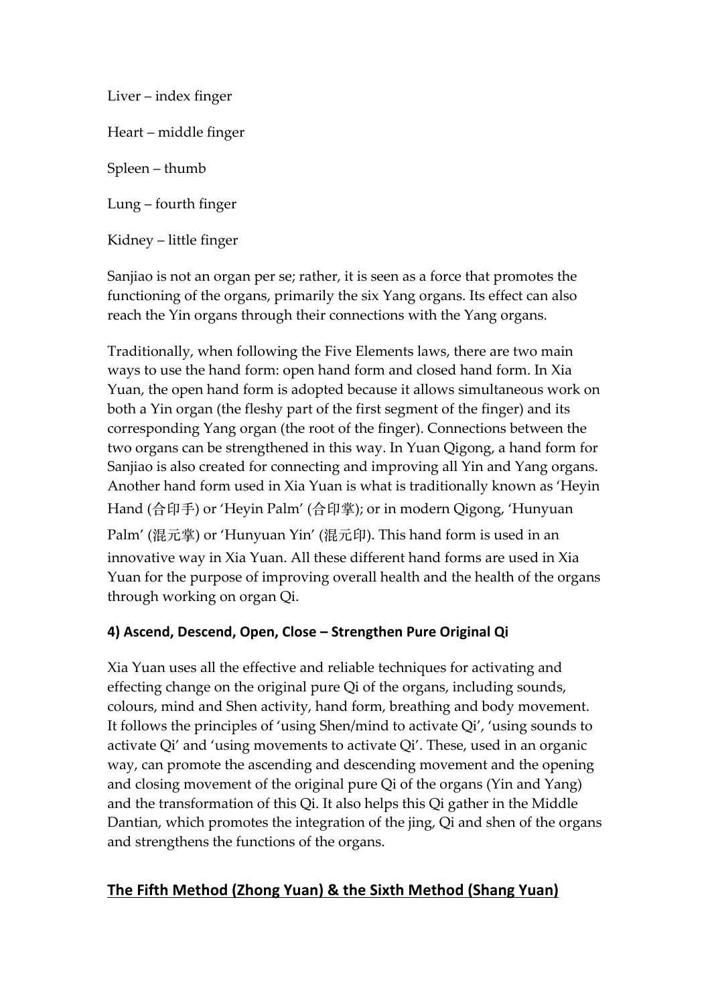Liver – index finger Heart – middle finger Spleen – thumb Lung – fourth finger Kidney – little finger

Sanjiao is not an organ per se; rather, it is seen as a force that promotes the functioning of the organs, primarily the six Yang organs. Its effect can also reach the Yin organs through their connections with the Yang organs.

Traditionally, when following the Five Elements laws, there are two main ways to use the hand form: open hand form and closed hand form. In Xia Yuan, the open hand form is adopted because it allows simultaneous work on both a Yin organ (the fleshy part of the first segment of the finger) and its corresponding Yang organ (the root of the finger). Connections between the two organs can be strengthened in this way. In Yuan Qigong, a hand form for Sanjiao is also created for connecting and improving all Yin and Yang organs. Another hand form used in Xia Yuan is what is traditionally known as 'Heyin Hand (合印手) or 'Heyin Palm' (合印掌); or in modern Qigong, 'Hunyuan Palm' (混元掌) or 'Hunyuan Yin' (混元印). This hand form is used in an innovative way in Xia Yuan. All these different hand forms are used in Xia Yuan for the purpose of improving overall health and the health of the organs through working on organ Qi.

# **4) Ascend, Descend, Open, Close – Strengthen Pure Original Qi**

Xia Yuan uses all the effective and reliable techniques for activating and effecting change on the original pure Qi of the organs, including sounds, colours, mind and Shen activity, hand form, breathing and body movement. It follows the principles of 'using Shen/mind to activate Qi', 'using sounds to activate Qi' and 'using movements to activate Qi'. These, used in an organic way, can promote the ascending and descending movement and the opening and closing movement of the original pure Qi of the organs (Yin and Yang) and the transformation of this Qi. It also helps this Qi gather in the Middle Dantian, which promotes the integration of the jing, Qi and shen of the organs and strengthens the functions of the organs.

# **The Fifth Method (Zhong Yuan) & the Sixth Method (Shang Yuan)**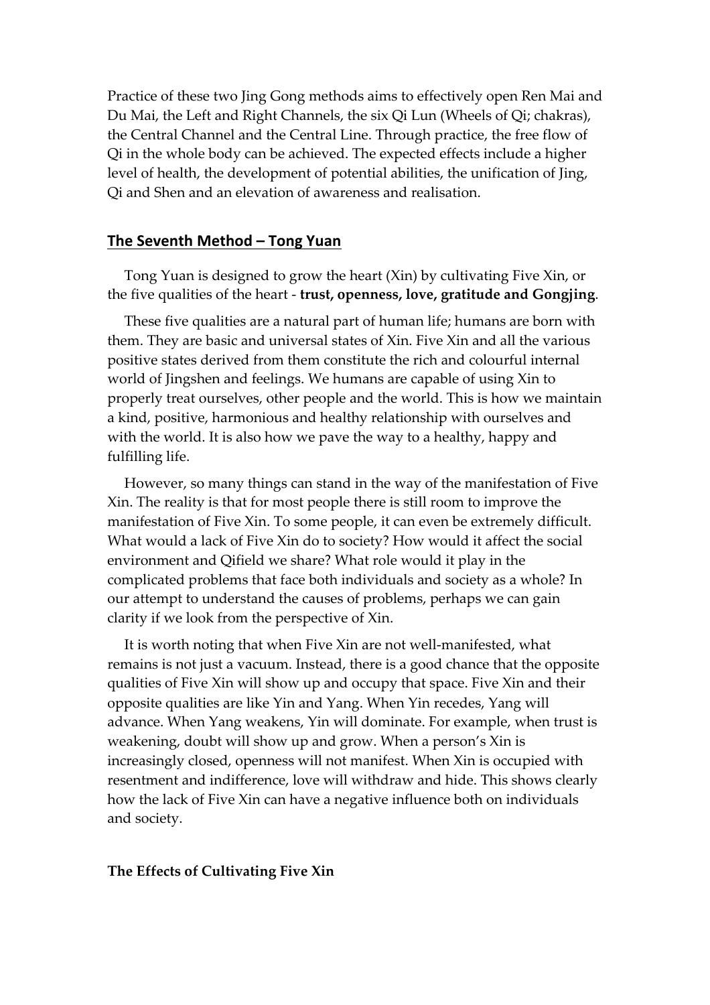Practice of these two Jing Gong methods aims to effectively open Ren Mai and Du Mai, the Left and Right Channels, the six Qi Lun (Wheels of Qi; chakras), the Central Channel and the Central Line. Through practice, the free flow of Qi in the whole body can be achieved. The expected effects include a higher level of health, the development of potential abilities, the unification of Jing, Qi and Shen and an elevation of awareness and realisation.

#### **The Seventh Method – Tong Yuan**

Tong Yuan is designed to grow the heart (Xin) by cultivating Five Xin, or the five qualities of the heart - **trust, openness, love, gratitude and Gongjing**.

These five qualities are a natural part of human life; humans are born with them. They are basic and universal states of Xin. Five Xin and all the various positive states derived from them constitute the rich and colourful internal world of Jingshen and feelings. We humans are capable of using Xin to properly treat ourselves, other people and the world. This is how we maintain a kind, positive, harmonious and healthy relationship with ourselves and with the world. It is also how we pave the way to a healthy, happy and fulfilling life.

However, so many things can stand in the way of the manifestation of Five Xin. The reality is that for most people there is still room to improve the manifestation of Five Xin. To some people, it can even be extremely difficult. What would a lack of Five Xin do to society? How would it affect the social environment and Qifield we share? What role would it play in the complicated problems that face both individuals and society as a whole? In our attempt to understand the causes of problems, perhaps we can gain clarity if we look from the perspective of Xin.

It is worth noting that when Five Xin are not well-manifested, what remains is not just a vacuum. Instead, there is a good chance that the opposite qualities of Five Xin will show up and occupy that space. Five Xin and their opposite qualities are like Yin and Yang. When Yin recedes, Yang will advance. When Yang weakens, Yin will dominate. For example, when trust is weakening, doubt will show up and grow. When a person's Xin is increasingly closed, openness will not manifest. When Xin is occupied with resentment and indifference, love will withdraw and hide. This shows clearly how the lack of Five Xin can have a negative influence both on individuals and society.

#### **The Effects of Cultivating Five Xin**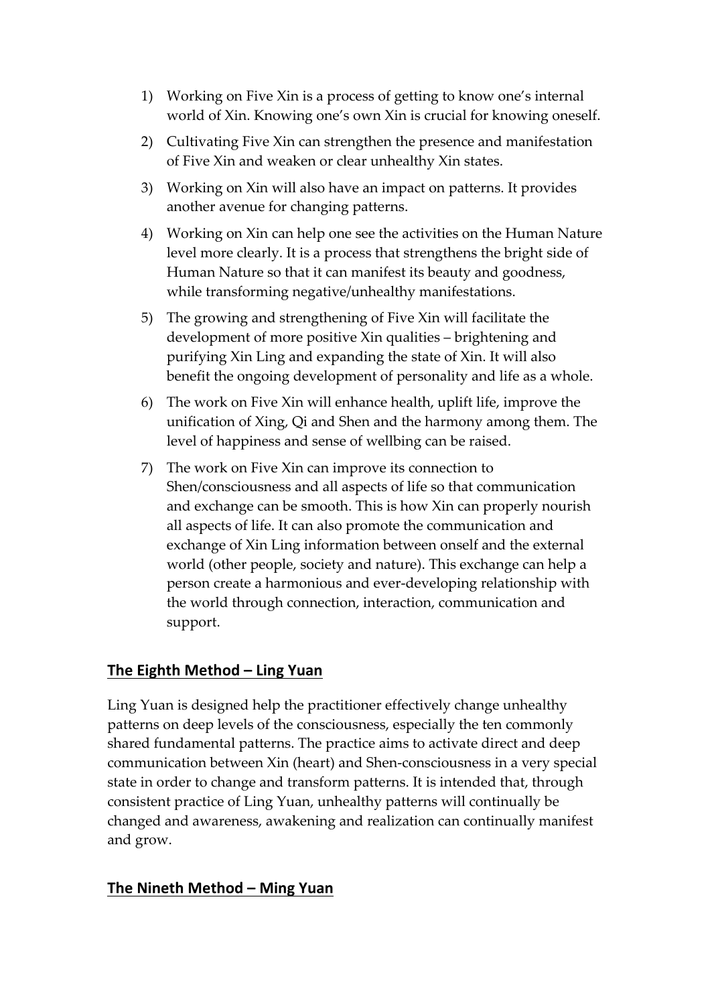- 1) Working on Five Xin is a process of getting to know one's internal world of Xin. Knowing one's own Xin is crucial for knowing oneself.
- 2) Cultivating Five Xin can strengthen the presence and manifestation of Five Xin and weaken or clear unhealthy Xin states.
- 3) Working on Xin will also have an impact on patterns. It provides another avenue for changing patterns.
- 4) Working on Xin can help one see the activities on the Human Nature level more clearly. It is a process that strengthens the bright side of Human Nature so that it can manifest its beauty and goodness, while transforming negative/unhealthy manifestations.
- 5) The growing and strengthening of Five Xin will facilitate the development of more positive Xin qualities – brightening and purifying Xin Ling and expanding the state of Xin. It will also benefit the ongoing development of personality and life as a whole.
- 6) The work on Five Xin will enhance health, uplift life, improve the unification of Xing, Qi and Shen and the harmony among them. The level of happiness and sense of wellbing can be raised.
- 7) The work on Five Xin can improve its connection to Shen/consciousness and all aspects of life so that communication and exchange can be smooth. This is how Xin can properly nourish all aspects of life. It can also promote the communication and exchange of Xin Ling information between onself and the external world (other people, society and nature). This exchange can help a person create a harmonious and ever-developing relationship with the world through connection, interaction, communication and support.

#### **The Eighth Method – Ling Yuan**

Ling Yuan is designed help the practitioner effectively change unhealthy patterns on deep levels of the consciousness, especially the ten commonly shared fundamental patterns. The practice aims to activate direct and deep communication between Xin (heart) and Shen-consciousness in a very special state in order to change and transform patterns. It is intended that, through consistent practice of Ling Yuan, unhealthy patterns will continually be changed and awareness, awakening and realization can continually manifest and grow.

#### **The Nineth Method – Ming Yuan**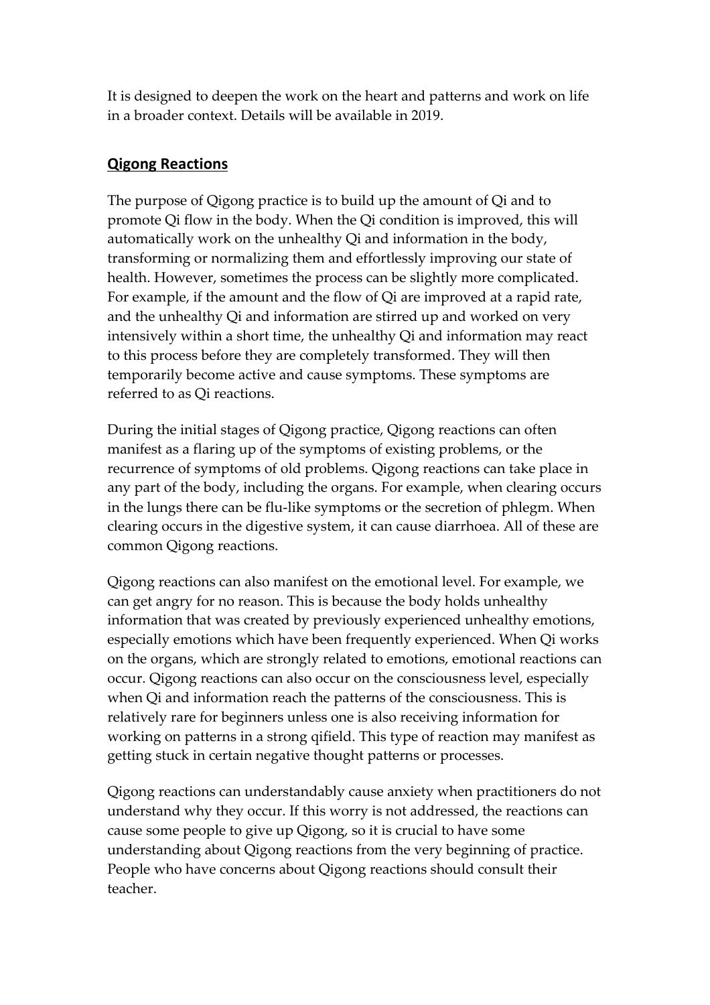It is designed to deepen the work on the heart and patterns and work on life in a broader context. Details will be available in 2019.

#### **Qigong Reactions**

The purpose of Qigong practice is to build up the amount of Qi and to promote Qi flow in the body. When the Qi condition is improved, this will automatically work on the unhealthy Qi and information in the body, transforming or normalizing them and effortlessly improving our state of health. However, sometimes the process can be slightly more complicated. For example, if the amount and the flow of Qi are improved at a rapid rate, and the unhealthy Qi and information are stirred up and worked on very intensively within a short time, the unhealthy Qi and information may react to this process before they are completely transformed. They will then temporarily become active and cause symptoms. These symptoms are referred to as Qi reactions.

During the initial stages of Qigong practice, Qigong reactions can often manifest as a flaring up of the symptoms of existing problems, or the recurrence of symptoms of old problems. Qigong reactions can take place in any part of the body, including the organs. For example, when clearing occurs in the lungs there can be flu-like symptoms or the secretion of phlegm. When clearing occurs in the digestive system, it can cause diarrhoea. All of these are common Qigong reactions.

Qigong reactions can also manifest on the emotional level. For example, we can get angry for no reason. This is because the body holds unhealthy information that was created by previously experienced unhealthy emotions, especially emotions which have been frequently experienced. When Qi works on the organs, which are strongly related to emotions, emotional reactions can occur. Qigong reactions can also occur on the consciousness level, especially when Qi and information reach the patterns of the consciousness. This is relatively rare for beginners unless one is also receiving information for working on patterns in a strong qifield. This type of reaction may manifest as getting stuck in certain negative thought patterns or processes.

Qigong reactions can understandably cause anxiety when practitioners do not understand why they occur. If this worry is not addressed, the reactions can cause some people to give up Qigong, so it is crucial to have some understanding about Qigong reactions from the very beginning of practice. People who have concerns about Qigong reactions should consult their teacher.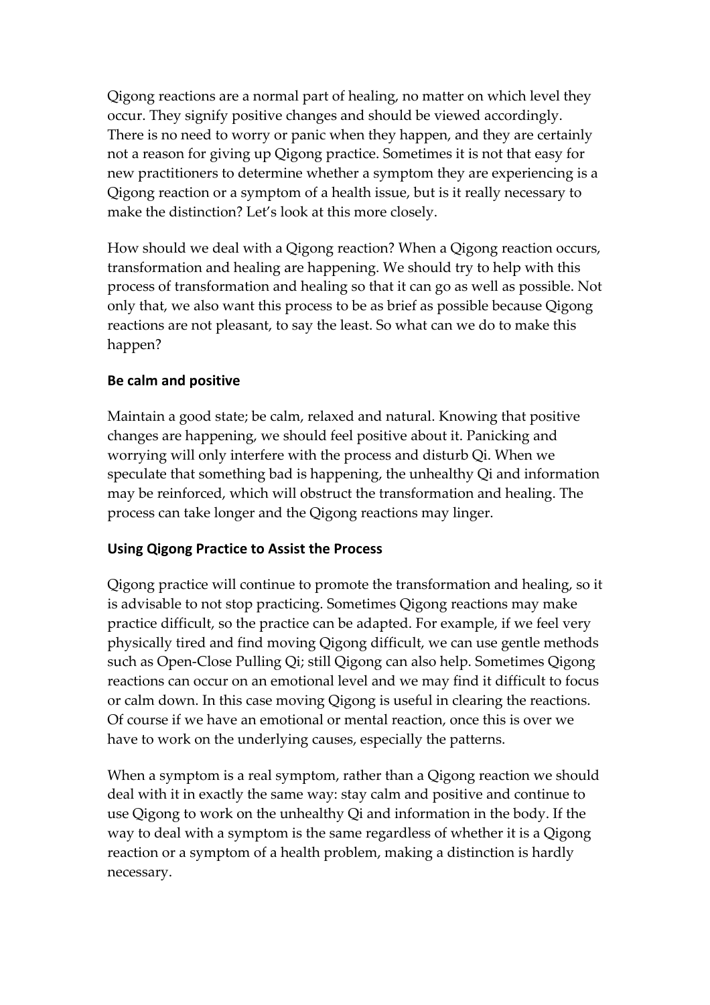Qigong reactions are a normal part of healing, no matter on which level they occur. They signify positive changes and should be viewed accordingly. There is no need to worry or panic when they happen, and they are certainly not a reason for giving up Qigong practice. Sometimes it is not that easy for new practitioners to determine whether a symptom they are experiencing is a Qigong reaction or a symptom of a health issue, but is it really necessary to make the distinction? Let's look at this more closely.

How should we deal with a Qigong reaction? When a Qigong reaction occurs, transformation and healing are happening. We should try to help with this process of transformation and healing so that it can go as well as possible. Not only that, we also want this process to be as brief as possible because Qigong reactions are not pleasant, to say the least. So what can we do to make this happen?

#### **Be calm and positive**

Maintain a good state; be calm, relaxed and natural. Knowing that positive changes are happening, we should feel positive about it. Panicking and worrying will only interfere with the process and disturb Qi. When we speculate that something bad is happening, the unhealthy Qi and information may be reinforced, which will obstruct the transformation and healing. The process can take longer and the Qigong reactions may linger.

#### **Using Qigong Practice to Assist the Process**

Qigong practice will continue to promote the transformation and healing, so it is advisable to not stop practicing. Sometimes Qigong reactions may make practice difficult, so the practice can be adapted. For example, if we feel very physically tired and find moving Qigong difficult, we can use gentle methods such as Open-Close Pulling Qi; still Qigong can also help. Sometimes Qigong reactions can occur on an emotional level and we may find it difficult to focus or calm down. In this case moving Qigong is useful in clearing the reactions. Of course if we have an emotional or mental reaction, once this is over we have to work on the underlying causes, especially the patterns.

When a symptom is a real symptom, rather than a Qigong reaction we should deal with it in exactly the same way: stay calm and positive and continue to use Qigong to work on the unhealthy Qi and information in the body. If the way to deal with a symptom is the same regardless of whether it is a Qigong reaction or a symptom of a health problem, making a distinction is hardly necessary.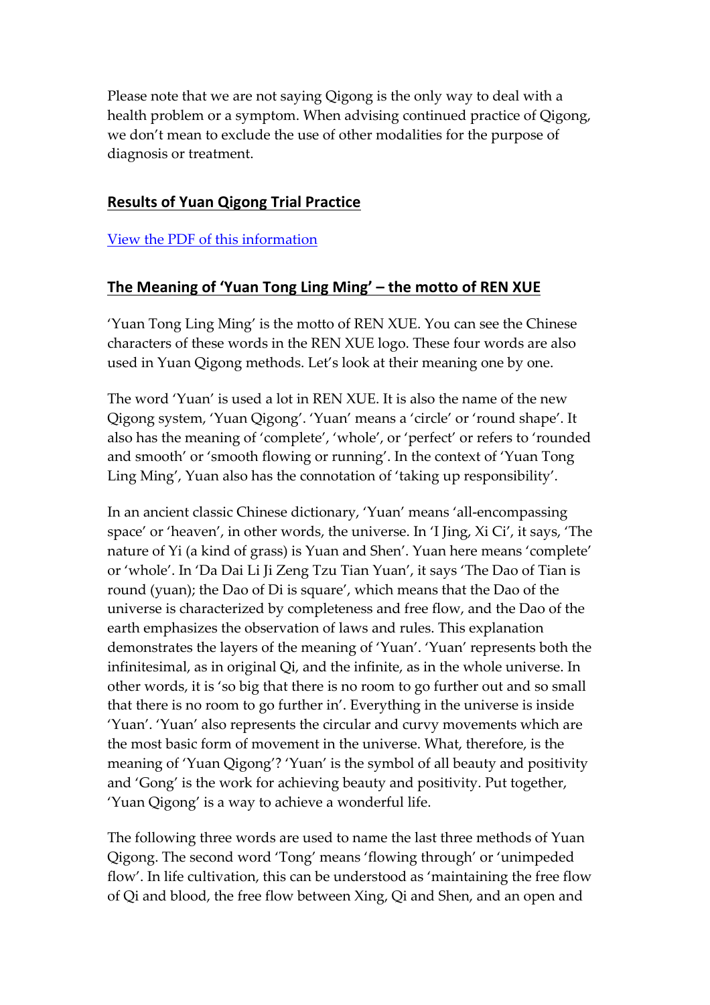Please note that we are not saying Qigong is the only way to deal with a health problem or a symptom. When advising continued practice of Qigong, we don't mean to exclude the use of other modalities for the purpose of diagnosis or treatment.

#### **Results of Yuan Qigong Trial Practice**

View the PDF of this information

# The Meaning of 'Yuan Tong Ling Ming' - the motto of REN XUE

'Yuan Tong Ling Ming' is the motto of REN XUE. You can see the Chinese characters of these words in the REN XUE logo. These four words are also used in Yuan Qigong methods. Let's look at their meaning one by one.

The word 'Yuan' is used a lot in REN XUE. It is also the name of the new Qigong system, 'Yuan Qigong'. 'Yuan' means a 'circle' or 'round shape'. It also has the meaning of 'complete', 'whole', or 'perfect' or refers to 'rounded and smooth' or 'smooth flowing or running'. In the context of 'Yuan Tong Ling Ming', Yuan also has the connotation of 'taking up responsibility'.

In an ancient classic Chinese dictionary, 'Yuan' means 'all-encompassing space' or 'heaven', in other words, the universe. In 'I Jing, Xi Ci', it says, 'The nature of Yi (a kind of grass) is Yuan and Shen'. Yuan here means 'complete' or 'whole'. In 'Da Dai Li Ji Zeng Tzu Tian Yuan', it says 'The Dao of Tian is round (yuan); the Dao of Di is square', which means that the Dao of the universe is characterized by completeness and free flow, and the Dao of the earth emphasizes the observation of laws and rules. This explanation demonstrates the layers of the meaning of 'Yuan'. 'Yuan' represents both the infinitesimal, as in original Qi, and the infinite, as in the whole universe. In other words, it is 'so big that there is no room to go further out and so small that there is no room to go further in'. Everything in the universe is inside 'Yuan'. 'Yuan' also represents the circular and curvy movements which are the most basic form of movement in the universe. What, therefore, is the meaning of 'Yuan Qigong'? 'Yuan' is the symbol of all beauty and positivity and 'Gong' is the work for achieving beauty and positivity. Put together, 'Yuan Qigong' is a way to achieve a wonderful life.

The following three words are used to name the last three methods of Yuan Qigong. The second word 'Tong' means 'flowing through' or 'unimpeded flow'. In life cultivation, this can be understood as 'maintaining the free flow of Qi and blood, the free flow between Xing, Qi and Shen, and an open and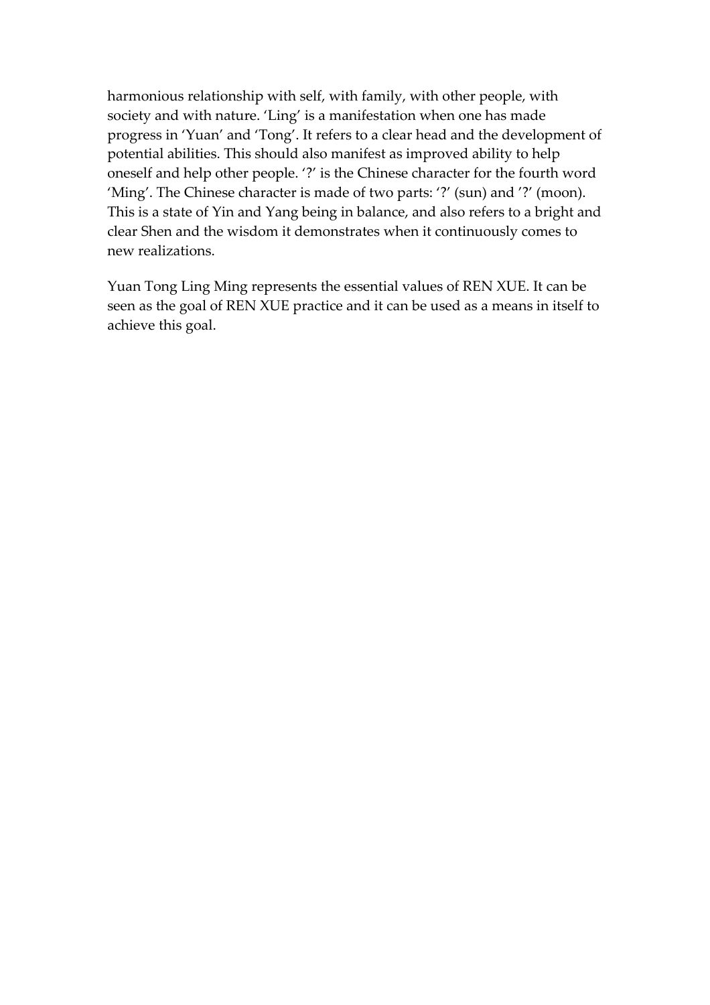harmonious relationship with self, with family, with other people, with society and with nature. 'Ling' is a manifestation when one has made progress in 'Yuan' and 'Tong'. It refers to a clear head and the development of potential abilities. This should also manifest as improved ability to help oneself and help other people. '?' is the Chinese character for the fourth word 'Ming'. The Chinese character is made of two parts: '?' (sun) and '?' (moon). This is a state of Yin and Yang being in balance, and also refers to a bright and clear Shen and the wisdom it demonstrates when it continuously comes to new realizations.

Yuan Tong Ling Ming represents the essential values of REN XUE. It can be seen as the goal of REN XUE practice and it can be used as a means in itself to achieve this goal.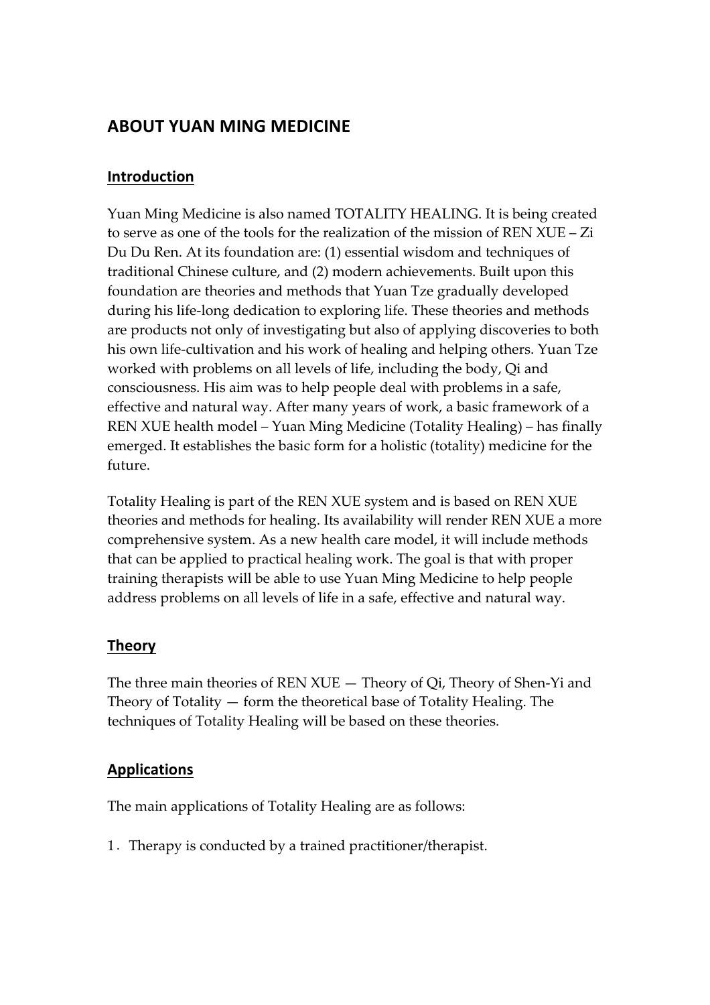# **ABOUT YUAN MING MEDICINE**

#### **Introduction**

Yuan Ming Medicine is also named TOTALITY HEALING. It is being created to serve as one of the tools for the realization of the mission of REN XUE – Zi Du Du Ren. At its foundation are: (1) essential wisdom and techniques of traditional Chinese culture, and (2) modern achievements. Built upon this foundation are theories and methods that Yuan Tze gradually developed during his life-long dedication to exploring life. These theories and methods are products not only of investigating but also of applying discoveries to both his own life-cultivation and his work of healing and helping others. Yuan Tze worked with problems on all levels of life, including the body, Qi and consciousness. His aim was to help people deal with problems in a safe, effective and natural way. After many years of work, a basic framework of a REN XUE health model – Yuan Ming Medicine (Totality Healing) – has finally emerged. It establishes the basic form for a holistic (totality) medicine for the future.

Totality Healing is part of the REN XUE system and is based on REN XUE theories and methods for healing. Its availability will render REN XUE a more comprehensive system. As a new health care model, it will include methods that can be applied to practical healing work. The goal is that with proper training therapists will be able to use Yuan Ming Medicine to help people address problems on all levels of life in a safe, effective and natural way.

# **Theory**

The three main theories of REN XUE — Theory of Qi, Theory of Shen-Yi and Theory of Totality — form the theoretical base of Totality Healing. The techniques of Totality Healing will be based on these theories.

# **Applications**

The main applications of Totality Healing are as follows:

1.Therapy is conducted by a trained practitioner/therapist.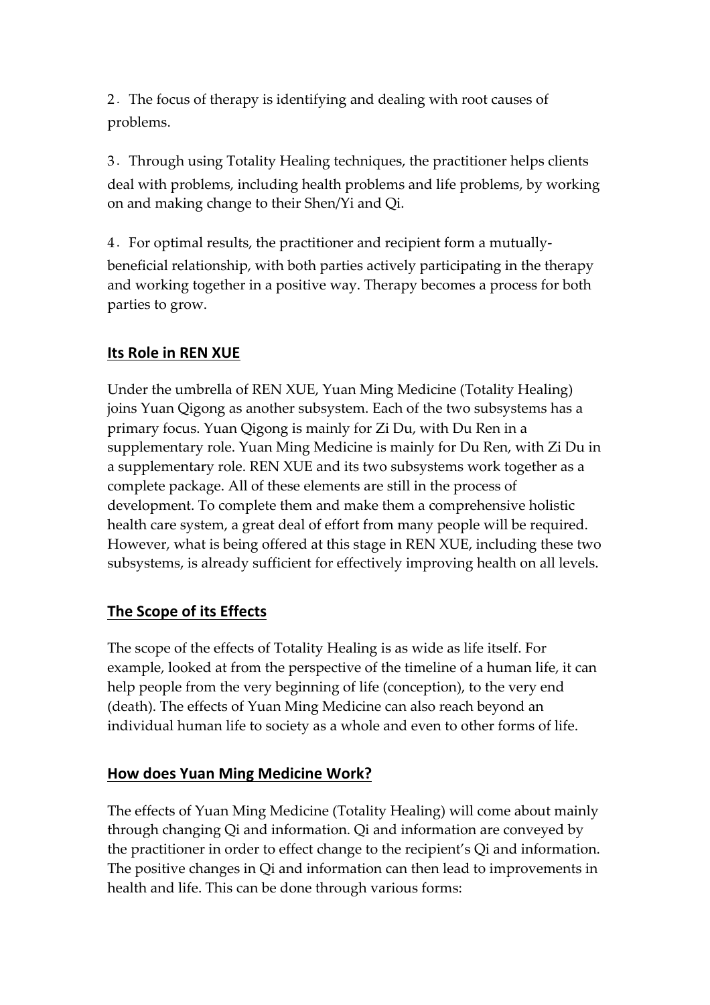2.The focus of therapy is identifying and dealing with root causes of problems.

3.Through using Totality Healing techniques, the practitioner helps clients deal with problems, including health problems and life problems, by working on and making change to their Shen/Yi and Qi.

4.For optimal results, the practitioner and recipient form a mutuallybeneficial relationship, with both parties actively participating in the therapy and working together in a positive way. Therapy becomes a process for both parties to grow.

# **Its Role in REN XUE**

Under the umbrella of REN XUE, Yuan Ming Medicine (Totality Healing) joins Yuan Qigong as another subsystem. Each of the two subsystems has a primary focus. Yuan Qigong is mainly for Zi Du, with Du Ren in a supplementary role. Yuan Ming Medicine is mainly for Du Ren, with Zi Du in a supplementary role. REN XUE and its two subsystems work together as a complete package. All of these elements are still in the process of development. To complete them and make them a comprehensive holistic health care system, a great deal of effort from many people will be required. However, what is being offered at this stage in REN XUE, including these two subsystems, is already sufficient for effectively improving health on all levels.

# **The Scope of its Effects**

The scope of the effects of Totality Healing is as wide as life itself. For example, looked at from the perspective of the timeline of a human life, it can help people from the very beginning of life (conception), to the very end (death). The effects of Yuan Ming Medicine can also reach beyond an individual human life to society as a whole and even to other forms of life.

# **How does Yuan Ming Medicine Work?**

The effects of Yuan Ming Medicine (Totality Healing) will come about mainly through changing Qi and information. Qi and information are conveyed by the practitioner in order to effect change to the recipient's Qi and information. The positive changes in Qi and information can then lead to improvements in health and life. This can be done through various forms: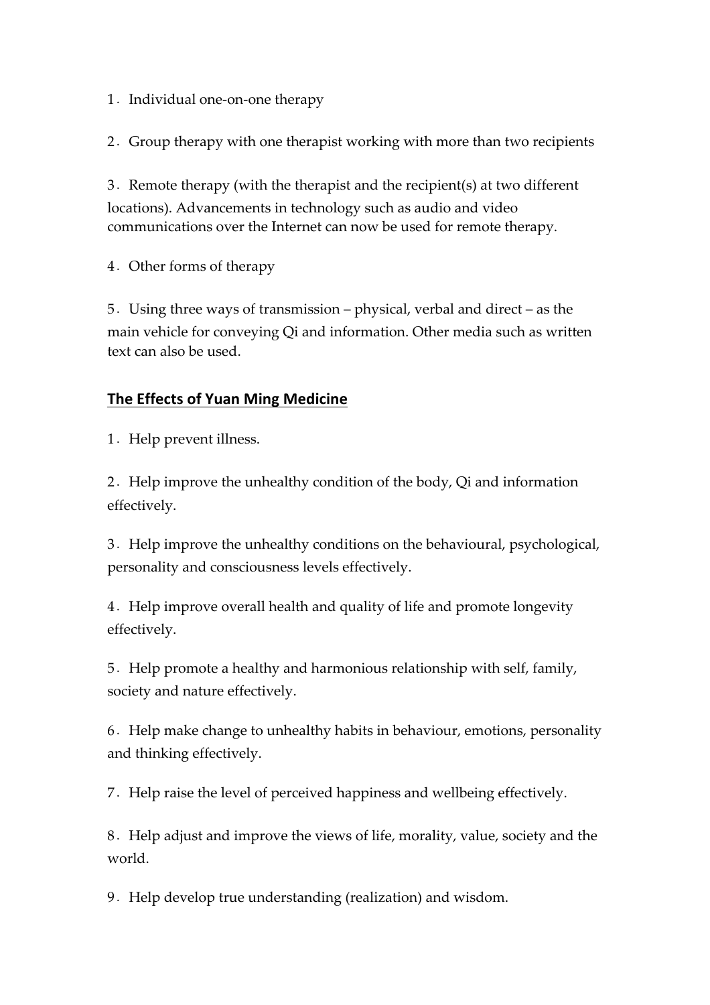1. Individual one-on-one therapy

2.Group therapy with one therapist working with more than two recipients

3.Remote therapy (with the therapist and the recipient(s) at two different locations). Advancements in technology such as audio and video communications over the Internet can now be used for remote therapy.

4.Other forms of therapy

5.Using three ways of transmission – physical, verbal and direct – as the main vehicle for conveying Qi and information. Other media such as written text can also be used.

# **The Effects of Yuan Ming Medicine**

1. Help prevent illness.

2.Help improve the unhealthy condition of the body, Qi and information effectively.

3.Help improve the unhealthy conditions on the behavioural, psychological, personality and consciousness levels effectively.

4.Help improve overall health and quality of life and promote longevity effectively.

5.Help promote a healthy and harmonious relationship with self, family, society and nature effectively.

6.Help make change to unhealthy habits in behaviour, emotions, personality and thinking effectively.

7.Help raise the level of perceived happiness and wellbeing effectively.

8.Help adjust and improve the views of life, morality, value, society and the world.

9. Help develop true understanding (realization) and wisdom.